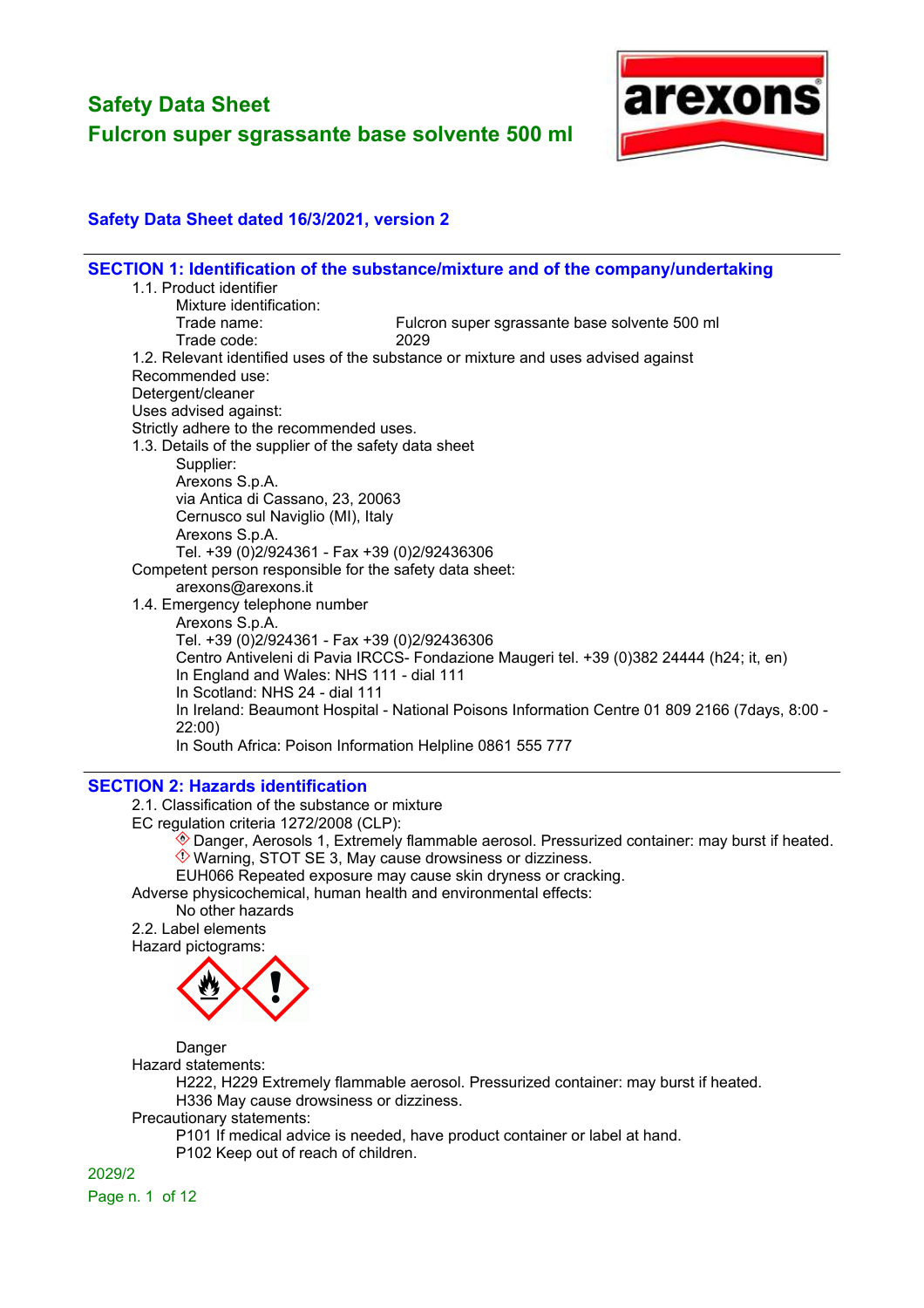

## **Safety Data Sheet dated 16/3/2021, version 2**

|                                                           | SECTION 1: Identification of the substance/mixture and of the company/undertaking              |
|-----------------------------------------------------------|------------------------------------------------------------------------------------------------|
| 1.1. Product identifier                                   |                                                                                                |
| Mixture identification:                                   |                                                                                                |
| Trade name:                                               | Fulcron super sgrassante base solvente 500 ml                                                  |
| Trade code:                                               | 2029                                                                                           |
|                                                           | 1.2. Relevant identified uses of the substance or mixture and uses advised against             |
| Recommended use:                                          |                                                                                                |
| Detergent/cleaner                                         |                                                                                                |
| Uses advised against:                                     |                                                                                                |
| Strictly adhere to the recommended uses.                  |                                                                                                |
| 1.3. Details of the supplier of the safety data sheet     |                                                                                                |
| Supplier:                                                 |                                                                                                |
| Arexons S.p.A.                                            |                                                                                                |
| via Antica di Cassano, 23, 20063                          |                                                                                                |
| Cernusco sul Naviglio (MI), Italy                         |                                                                                                |
| Arexons S.p.A.                                            |                                                                                                |
| Tel. +39 (0)2/924361 - Fax +39 (0)2/92436306              |                                                                                                |
| Competent person responsible for the safety data sheet:   |                                                                                                |
| arexons@arexons.it                                        |                                                                                                |
| 1.4. Emergency telephone number                           |                                                                                                |
| Arexons S.p.A.                                            |                                                                                                |
| Tel. +39 (0)2/924361 - Fax +39 (0)2/92436306              |                                                                                                |
|                                                           | Centro Antiveleni di Pavia IRCCS- Fondazione Maugeri tel. +39 (0)382 24444 (h24; it, en)       |
| In England and Wales: NHS 111 - dial 111                  |                                                                                                |
| In Scotland: NHS 24 - dial 111                            |                                                                                                |
|                                                           | In Ireland: Beaumont Hospital - National Poisons Information Centre 01 809 2166 (7days, 8:00 - |
| 22:00)                                                    |                                                                                                |
| In South Africa: Poison Information Helpline 0861 555 777 |                                                                                                |
|                                                           |                                                                                                |

#### **SECTION 2: Hazards identification**

2.1. Classification of the substance or mixture

EC regulation criteria 1272/2008 (CLP):

- Danger, Aerosols 1, Extremely flammable aerosol. Pressurized container: may burst if heated.
- $\Diamond$  Warning, STOT SE 3, May cause drowsiness or dizziness.

EUH066 Repeated exposure may cause skin dryness or cracking.

Adverse physicochemical, human health and environmental effects:

No other hazards

2.2. Label elements Hazard pictograms:



Danger

Hazard statements:

H222, H229 Extremely flammable aerosol. Pressurized container: may burst if heated. H336 May cause drowsiness or dizziness.

Precautionary statements:

P101 If medical advice is needed, have product container or label at hand.

P102 Keep out of reach of children.

2029/2 Page n. 1 of 12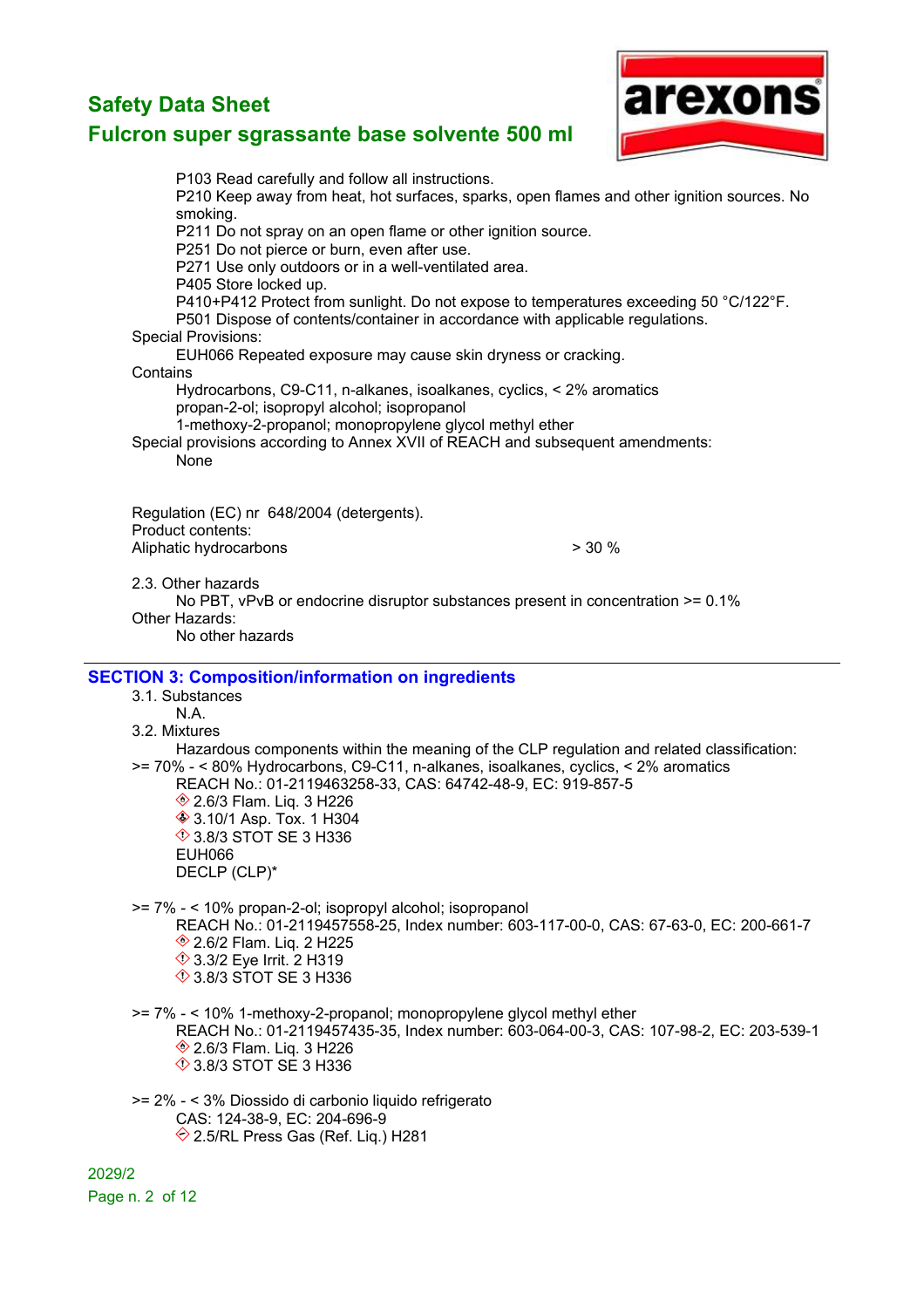

## **Fulcron super sgrassante base solvente 500 ml**

P103 Read carefully and follow all instructions. P210 Keep away from heat, hot surfaces, sparks, open flames and other ignition sources. No smoking. P211 Do not spray on an open flame or other ignition source. P251 Do not pierce or burn, even after use. P271 Use only outdoors or in a well-ventilated area. P405 Store locked up. P410+P412 Protect from sunlight. Do not expose to temperatures exceeding 50 °C/122°F. P501 Dispose of contents/container in accordance with applicable regulations. Special Provisions: EUH066 Repeated exposure may cause skin dryness or cracking. **Contains** Hydrocarbons, C9-C11, n-alkanes, isoalkanes, cyclics, < 2% aromatics propan-2-ol; isopropyl alcohol; isopropanol 1-methoxy-2-propanol; monopropylene glycol methyl ether Special provisions according to Annex XVII of REACH and subsequent amendments: None Regulation (EC) nr 648/2004 (detergents). Product contents: Aliphatic hydrocarbons  $>$  30 % 2.3. Other hazards No PBT, vPvB or endocrine disruptor substances present in concentration  $>= 0.1\%$ Other Hazards: No other hazards **SECTION 3: Composition/information on ingredients** 3.1. Substances N.A. 3.2. Mixtures Hazardous components within the meaning of the CLP regulation and related classification: >= 70% - < 80% Hydrocarbons, C9-C11, n-alkanes, isoalkanes, cyclics, < 2% aromatics REACH No.: 01-2119463258-33, CAS: 64742-48-9, EC: 919-857-5 **♦ 2.6/3 Flam. Lig. 3 H226 ♦ 3.10/1 Asp. Tox. 1 H304 1**⁄2 3.8/3 STOT SE 3 H336 EUH066 DECLP (CLP)\* >= 7% - < 10% propan-2-ol; isopropyl alcohol; isopropanol REACH No.: 01-2119457558-25, Index number: 603-117-00-0, CAS: 67-63-0, EC: 200-661-7 **♦ 2.6/2 Flam. Lig. 2 H225**  3.3/2 Eye Irrit. 2 H319 **1**3.8/3 STOT SE 3 H336 >= 7% - < 10% 1-methoxy-2-propanol; monopropylene glycol methyl ether REACH No.: 01-2119457435-35, Index number: 603-064-00-3, CAS: 107-98-2, EC: 203-539-1 **♦ 2.6/3 Flam. Lig. 3 H226 1** 3.8/3 STOT SE 3 H336 >= 2% - < 3% Diossido di carbonio liquido refrigerato CAS: 124-38-9, EC: 204-696-9  $\Diamond$  2.5/RL Press Gas (Ref. Lig.) H281 2029/2

Page n. 2 of 12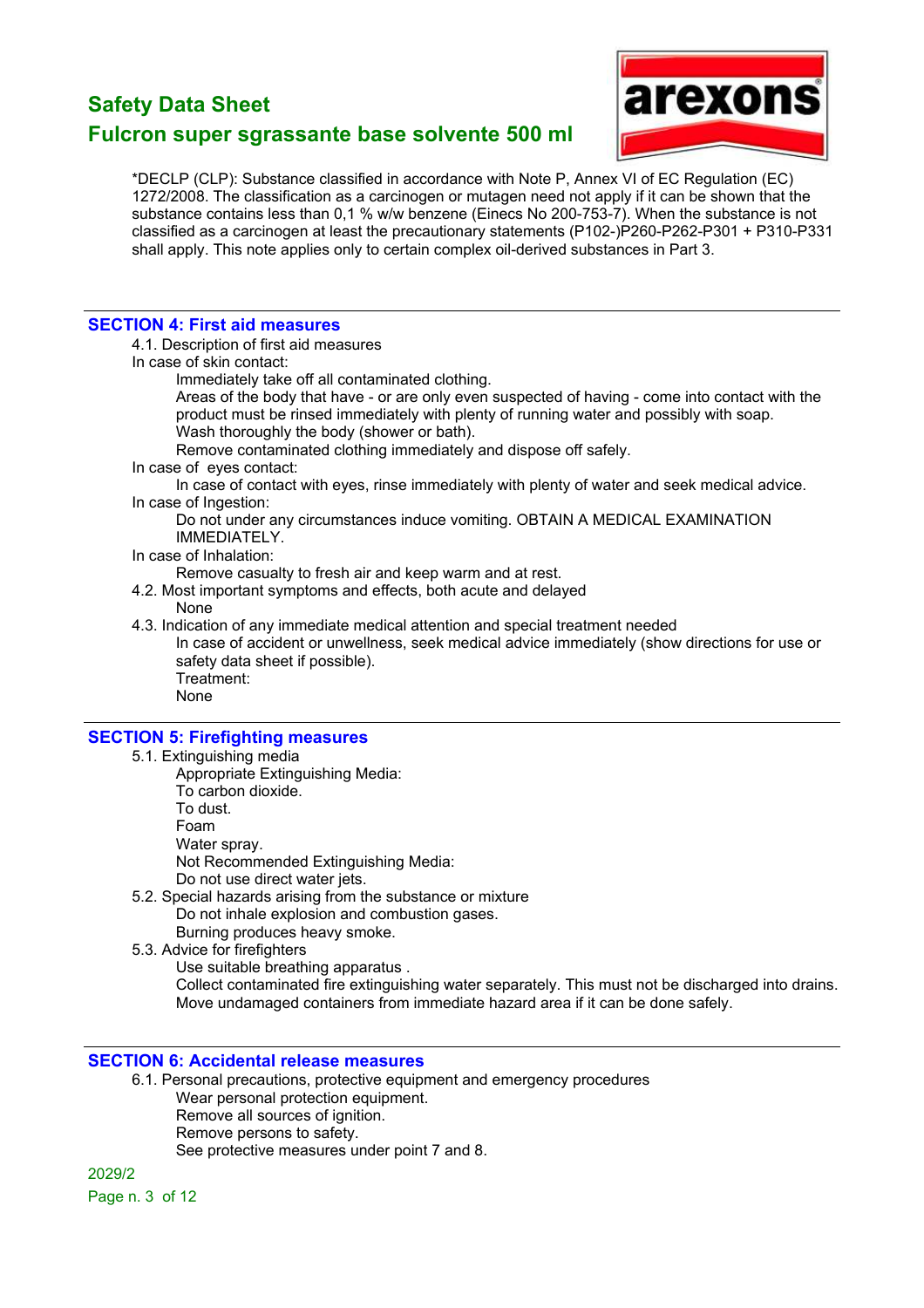# arexon

## **Fulcron super sgrassante base solvente 500 ml**

\*DECLP (CLP): Substance classified in accordance with Note P, Annex VI of EC Regulation (EC) 1272/2008. The classification as a carcinogen or mutagen need not apply if it can be shown that the substance contains less than 0,1 % w/w benzene (Einecs No 200-753-7). When the substance is not classified as a carcinogen at least the precautionary statements (P102-)P260-P262-P301 + P310-P331 shall apply. This note applies only to certain complex oil-derived substances in Part 3.

#### **SECTION 4: First aid measures**

4.1. Description of first aid measures

In case of skin contact:

Immediately take off all contaminated clothing.

Areas of the body that have - or are only even suspected of having - come into contact with the product must be rinsed immediately with plenty of running water and possibly with soap. Wash thoroughly the body (shower or bath).

Remove contaminated clothing immediately and dispose off safely.

In case of eyes contact:

In case of contact with eyes, rinse immediately with plenty of water and seek medical advice. In case of Ingestion:

Do not under any circumstances induce vomiting. OBTAIN A MEDICAL EXAMINATION IMMEDIATELY.

In case of Inhalation:

Remove casualty to fresh air and keep warm and at rest.

- 4.2. Most important symptoms and effects, both acute and delayed
	- None

4.3. Indication of any immediate medical attention and special treatment needed In case of accident or unwellness, seek medical advice immediately (show directions for use or safety data sheet if possible). Treatment: None

#### **SECTION 5: Firefighting measures**

- 5.1. Extinguishing media
	- Appropriate Extinguishing Media:
		- To carbon dioxide.
		- To dust.
		- Foam
		- Water spray.

Not Recommended Extinguishing Media:

- Do not use direct water jets.
- 5.2. Special hazards arising from the substance or mixture Do not inhale explosion and combustion gases.

Burning produces heavy smoke.

5.3. Advice for firefighters

Use suitable breathing apparatus .

Collect contaminated fire extinguishing water separately. This must not be discharged into drains. Move undamaged containers from immediate hazard area if it can be done safely.

#### **SECTION 6: Accidental release measures**

6.1. Personal precautions, protective equipment and emergency procedures Wear personal protection equipment. Remove all sources of ignition. Remove persons to safety. See protective measures under point 7 and 8.

2029/2 Page n. 3 of 12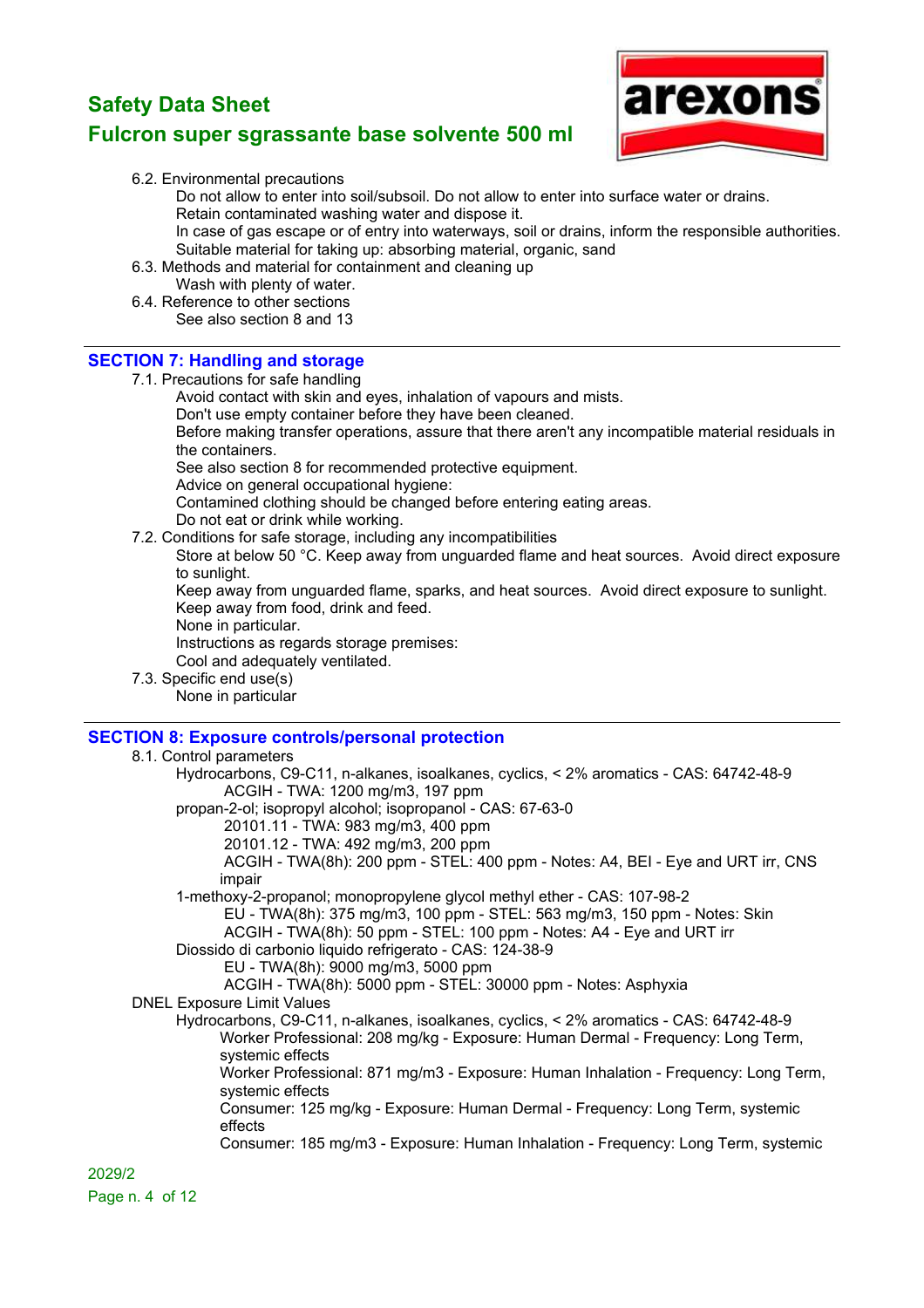

- 6.2. Environmental precautions
	- Do not allow to enter into soil/subsoil. Do not allow to enter into surface water or drains.
	- Retain contaminated washing water and dispose it.
	- In case of gas escape or of entry into waterways, soil or drains, inform the responsible authorities. Suitable material for taking up: absorbing material, organic, sand
- 6.3. Methods and material for containment and cleaning up
- Wash with plenty of water. 6.4. Reference to other sections
- See also section 8 and 13

#### **SECTION 7: Handling and storage**

- 7.1. Precautions for safe handling
	- Avoid contact with skin and eyes, inhalation of vapours and mists.
	- Don't use empty container before they have been cleaned.

Before making transfer operations, assure that there aren't any incompatible material residuals in the containers.

See also section 8 for recommended protective equipment.

Advice on general occupational hygiene:

Contamined clothing should be changed before entering eating areas.

Do not eat or drink while working.

- 7.2. Conditions for safe storage, including any incompatibilities
	- Store at below 50 °C. Keep away from unguarded flame and heat sources. Avoid direct exposure to sunlight.

Keep away from unguarded flame, sparks, and heat sources. Avoid direct exposure to sunlight. Keep away from food, drink and feed.

None in particular.

Instructions as regards storage premises:

Cool and adequately ventilated.

7.3. Specific end use(s) None in particular

# **SECTION 8: Exposure controls/personal protection**

8.1. Control parameters Hydrocarbons, C9-C11, n-alkanes, isoalkanes, cyclics, < 2% aromatics - CAS: 64742-48-9 ACGIH - TWA: 1200 mg/m3, 197 ppm propan-2-ol; isopropyl alcohol; isopropanol - CAS: 67-63-0 20101.11 - TWA: 983 mg/m3, 400 ppm 20101.12 - TWA: 492 mg/m3, 200 ppm ACGIH - TWA(8h): 200 ppm - STEL: 400 ppm - Notes: A4, BEI - Eye and URT irr, CNS impair 1-methoxy-2-propanol; monopropylene glycol methyl ether - CAS: 107-98-2 EU - TWA(8h): 375 mg/m3, 100 ppm - STEL: 563 mg/m3, 150 ppm - Notes: Skin ACGIH - TWA(8h): 50 ppm - STEL: 100 ppm - Notes: A4 - Eye and URT irr Diossido di carbonio liquido refrigerato - CAS: 124-38-9 EU - TWA(8h): 9000 mg/m3, 5000 ppm ACGIH - TWA(8h): 5000 ppm - STEL: 30000 ppm - Notes: Asphyxia DNEL Exposure Limit Values Hydrocarbons, C9-C11, n-alkanes, isoalkanes, cyclics, < 2% aromatics - CAS: 64742-48-9 Worker Professional: 208 mg/kg - Exposure: Human Dermal - Frequency: Long Term, systemic effects Worker Professional: 871 mg/m3 - Exposure: Human Inhalation - Frequency: Long Term, systemic effects Consumer: 125 mg/kg - Exposure: Human Dermal - Frequency: Long Term, systemic effects Consumer: 185 mg/m3 - Exposure: Human Inhalation - Frequency: Long Term, systemic

2029/2 Page n. 4 of 12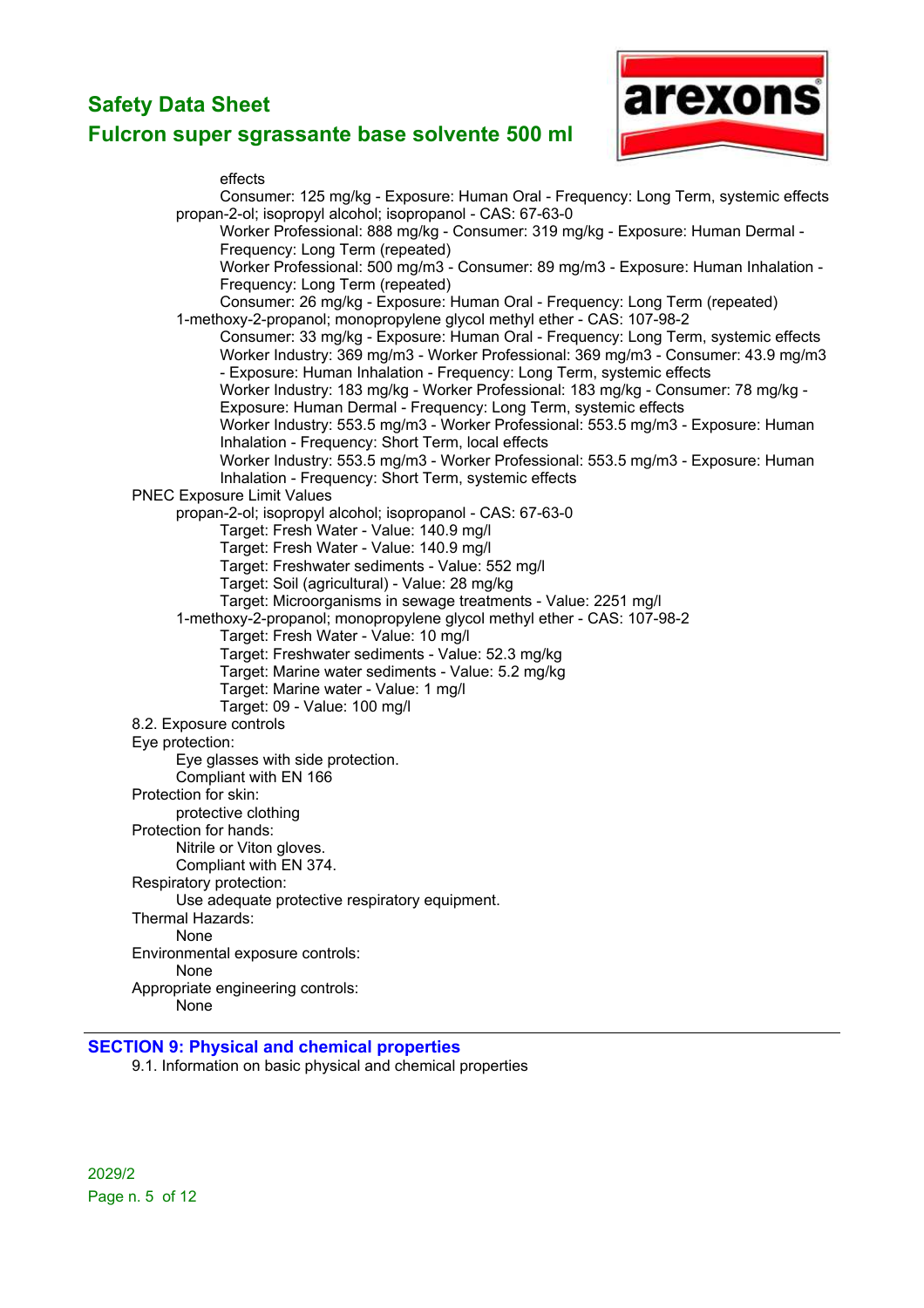

effects



#### **SECTION 9: Physical and chemical properties**

9.1. Information on basic physical and chemical properties

2029/2 Page n. 5 of 12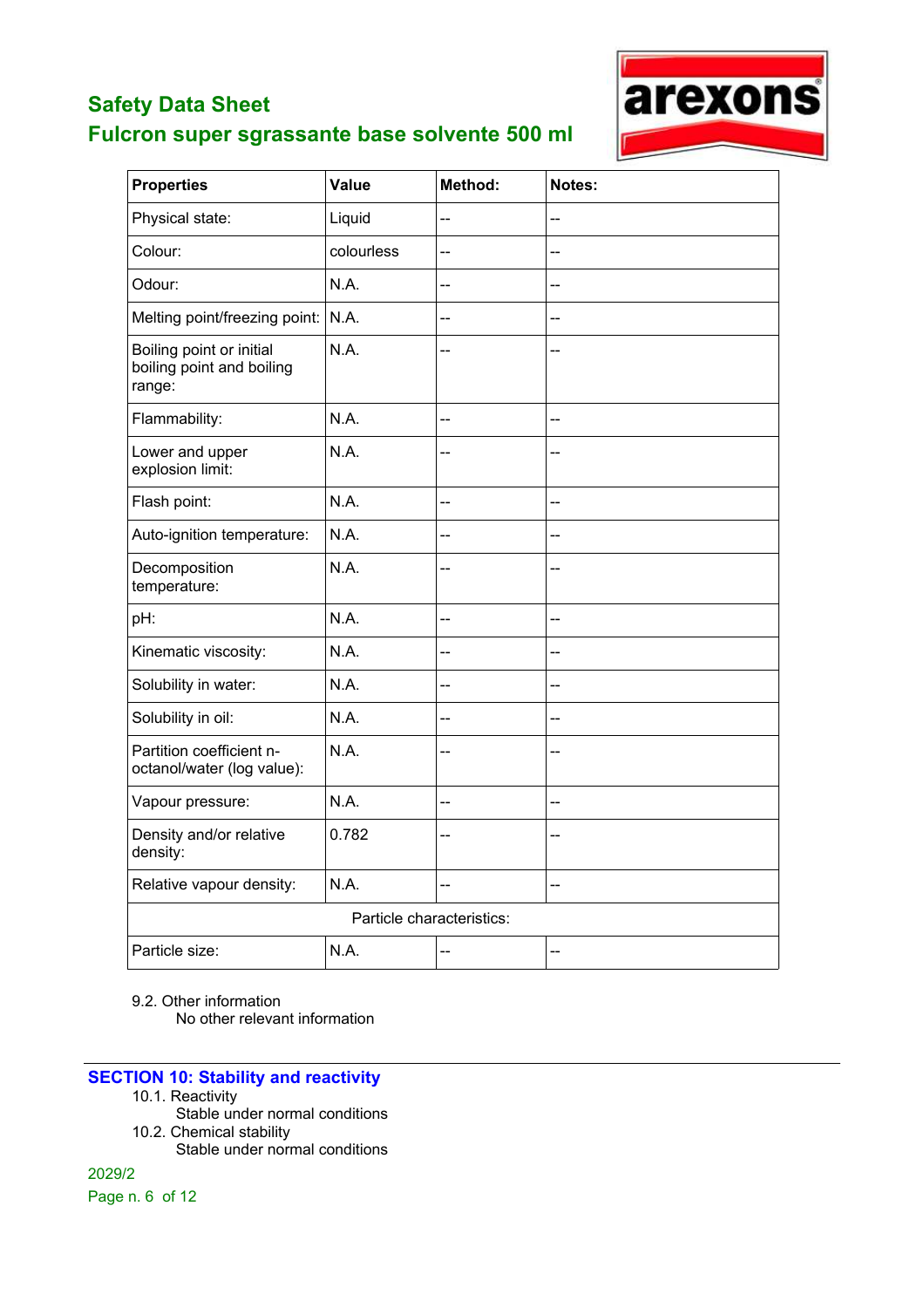## **Fulcron super sgrassante base solvente 500 ml**



| <b>Properties</b>                                               | Value      | Method:                  | Notes:         |
|-----------------------------------------------------------------|------------|--------------------------|----------------|
| Physical state:                                                 | Liquid     | --                       | --             |
| Colour:                                                         | colourless | $\overline{\phantom{a}}$ | $\sim$         |
| Odour:                                                          | N.A.       | --                       |                |
| Melting point/freezing point:                                   | N.A.       | --                       |                |
| Boiling point or initial<br>boiling point and boiling<br>range: | N.A.       | --                       |                |
| Flammability:                                                   | N.A.       | --                       | $-$            |
| Lower and upper<br>explosion limit:                             | N.A.       | --                       | --             |
| Flash point:                                                    | N.A.       | --                       | $-$            |
| Auto-ignition temperature:                                      | N.A.       | --                       | --             |
| Decomposition<br>temperature:                                   | N.A.       | --                       | --             |
| pH:                                                             | N.A.       | --                       | $\overline{a}$ |
| Kinematic viscosity:                                            | N.A.       | --                       | --             |
| Solubility in water:                                            | N.A.       | --                       | --             |
| Solubility in oil:                                              | N.A.       | --                       | --             |
| Partition coefficient n-<br>octanol/water (log value):          | N.A.       | --                       | <u>--</u>      |
| Vapour pressure:                                                | N.A.       | --                       | $\sim$         |
| Density and/or relative<br>density:                             | 0.782      | --                       |                |
| Relative vapour density:                                        | N.A.       | --                       | <u>--</u>      |
| Particle characteristics:                                       |            |                          |                |
| Particle size:                                                  | N.A.       | --                       | --             |

9.2. Other information

No other relevant information

#### **SECTION 10: Stability and reactivity**

- 10.1. Reactivity
- Stable under normal conditions 10.2. Chemical stability

Stable under normal conditions

2029/2 Page n. 6 of 12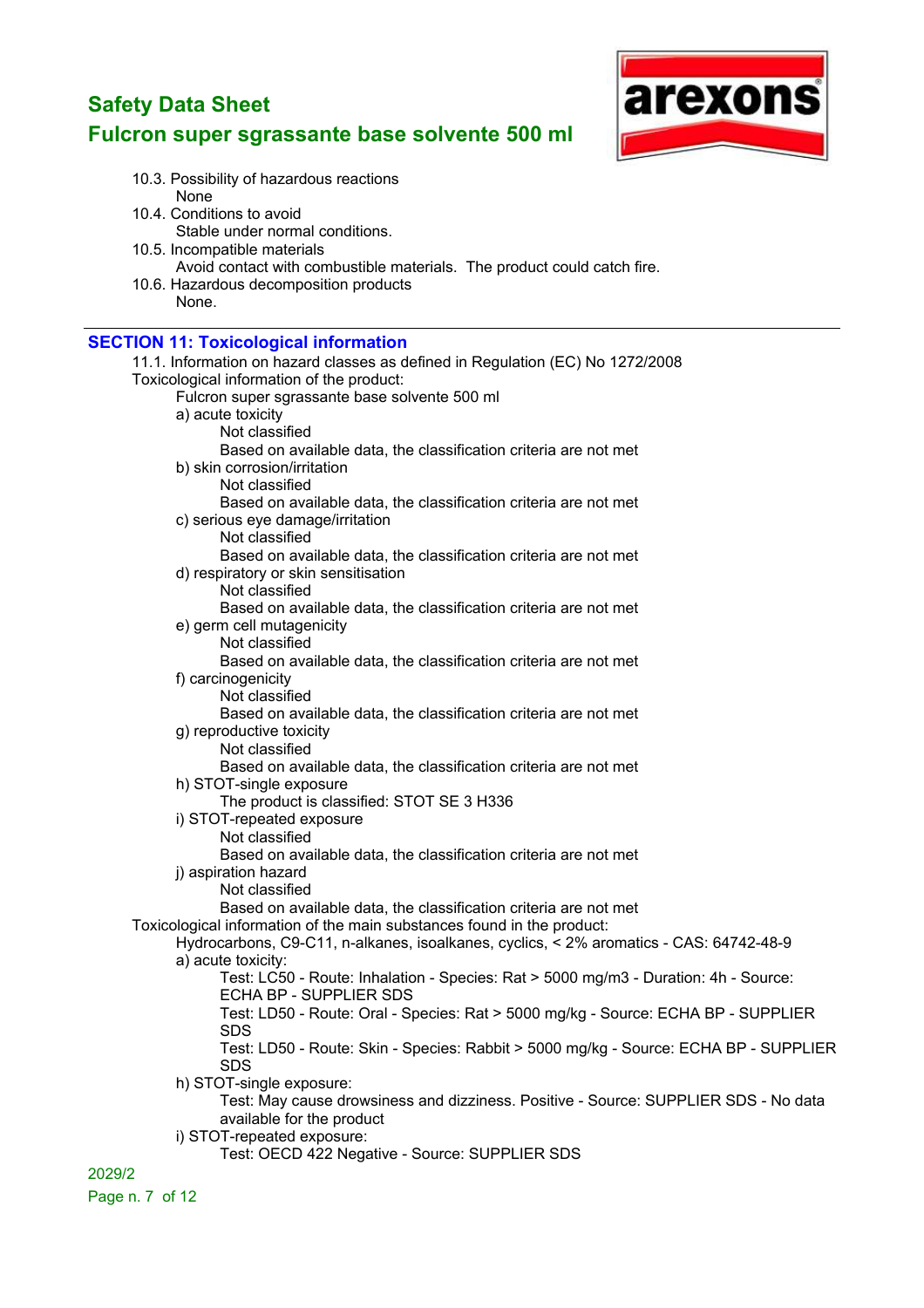## **Fulcron super sgrassante base solvente 500 ml**



- 10.3. Possibility of hazardous reactions None
- 10.4. Conditions to avoid Stable under normal conditions.
- 10.5. Incompatible materials Avoid contact with combustible materials. The product could catch fire.
- 10.6. Hazardous decomposition products None.

#### **SECTION 11: Toxicological information**

| <u>ULUTION TELEVAIGUIOGIGALIMUIMANUM</u>                                               |
|----------------------------------------------------------------------------------------|
| 11.1. Information on hazard classes as defined in Regulation (EC) No 1272/2008         |
| Toxicological information of the product:                                              |
| Fulcron super sgrassante base solvente 500 ml                                          |
| a) acute toxicity                                                                      |
| Not classified                                                                         |
| Based on available data, the classification criteria are not met                       |
| b) skin corrosion/irritation                                                           |
| Not classified                                                                         |
| Based on available data, the classification criteria are not met                       |
| c) serious eye damage/irritation                                                       |
| Not classified                                                                         |
| Based on available data, the classification criteria are not met                       |
| d) respiratory or skin sensitisation                                                   |
| Not classified                                                                         |
| Based on available data, the classification criteria are not met                       |
| e) germ cell mutagenicity                                                              |
| Not classified                                                                         |
| Based on available data, the classification criteria are not met                       |
| f) carcinogenicity                                                                     |
| Not classified                                                                         |
| Based on available data, the classification criteria are not met                       |
| g) reproductive toxicity                                                               |
| Not classified                                                                         |
| Based on available data, the classification criteria are not met                       |
| h) STOT-single exposure                                                                |
| The product is classified: STOT SE 3 H336                                              |
| i) STOT-repeated exposure                                                              |
| Not classified                                                                         |
| Based on available data, the classification criteria are not met                       |
| j) aspiration hazard                                                                   |
| Not classified                                                                         |
| Based on available data, the classification criteria are not met                       |
| Toxicological information of the main substances found in the product:                 |
| Hydrocarbons, C9-C11, n-alkanes, isoalkanes, cyclics, < 2% aromatics - CAS: 64742-48-9 |
| a) acute toxicity:                                                                     |
| Test: LC50 - Route: Inhalation - Species: Rat > 5000 mg/m3 - Duration: 4h - Source:    |
| ECHA BP - SUPPLIER SDS                                                                 |
| Test: LD50 - Route: Oral - Species: Rat > 5000 mg/kg - Source: ECHA BP - SUPPLIER      |
| <b>SDS</b>                                                                             |
| Test: LD50 - Route: Skin - Species: Rabbit > 5000 mg/kg - Source: ECHA BP - SUPPLIER   |
| SDS                                                                                    |
| h) STOT-single exposure:                                                               |
| Test: May cause drowsiness and dizziness. Positive - Source: SUPPLIER SDS - No data    |
| available for the product                                                              |
| i) STOT-repeated exposure:                                                             |
| Test: OECD 422 Negative - Source: SUPPLIER SDS                                         |
| 2029/2                                                                                 |
|                                                                                        |

Page n. 7 of 12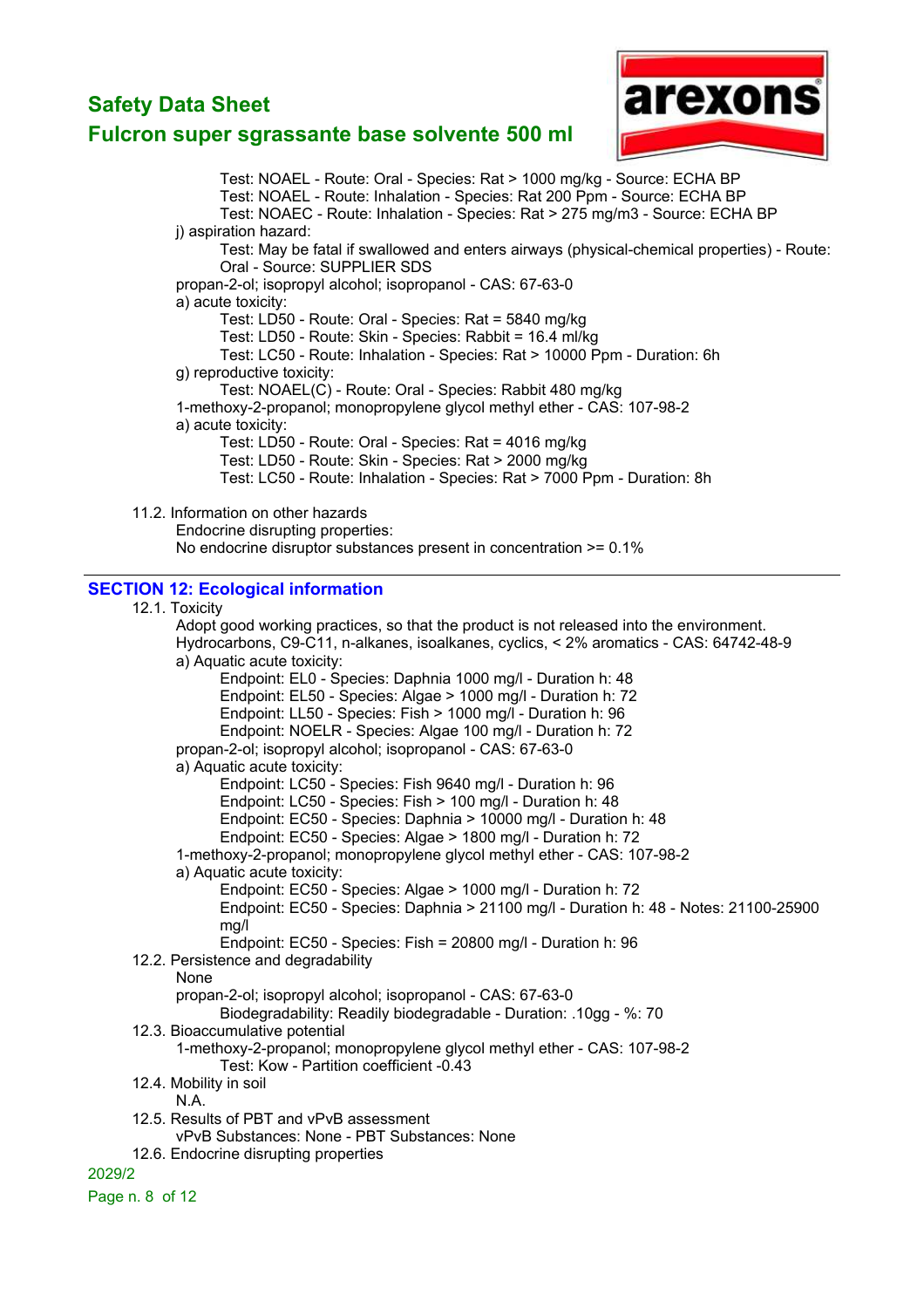

## **Fulcron super sgrassante base solvente 500 ml**

Test: NOAEL - Route: Oral - Species: Rat > 1000 mg/kg - Source: ECHA BP Test: NOAEL - Route: Inhalation - Species: Rat 200 Ppm - Source: ECHA BP Test: NOAEC - Route: Inhalation - Species: Rat > 275 mg/m3 - Source: ECHA BP i) aspiration hazard: Test: May be fatal if swallowed and enters airways (physical-chemical properties) - Route: Oral - Source: SUPPLIER SDS propan-2-ol; isopropyl alcohol; isopropanol - CAS: 67-63-0 a) acute toxicity: Test: LD50 - Route: Oral - Species: Rat = 5840 mg/kg Test: LD50 - Route: Skin - Species: Rabbit = 16.4 ml/kg Test: LC50 - Route: Inhalation - Species: Rat > 10000 Ppm - Duration: 6h g) reproductive toxicity: Test: NOAEL(C) - Route: Oral - Species: Rabbit 480 mg/kg 1-methoxy-2-propanol; monopropylene glycol methyl ether - CAS: 107-98-2 a) acute toxicity: Test: LD50 - Route: Oral - Species: Rat = 4016 mg/kg Test: LD50 - Route: Skin - Species: Rat > 2000 mg/kg Test: LC50 - Route: Inhalation - Species: Rat > 7000 Ppm - Duration: 8h 11.2. Information on other hazards Endocrine disrupting properties: No endocrine disruptor substances present in concentration >= 0.1% **SECTION 12: Ecological information** 12.1. Toxicity Adopt good working practices, so that the product is not released into the environment. Hydrocarbons, C9-C11, n-alkanes, isoalkanes, cyclics, < 2% aromatics - CAS: 64742-48-9 a) Aquatic acute toxicity: Endpoint: EL0 - Species: Daphnia 1000 mg/l - Duration h: 48 Endpoint: EL50 - Species: Algae > 1000 mg/l - Duration h: 72 Endpoint: LL50 - Species: Fish > 1000 mg/l - Duration h: 96 Endpoint: NOELR - Species: Algae 100 mg/l - Duration h: 72 propan-2-ol; isopropyl alcohol; isopropanol - CAS: 67-63-0 a) Aquatic acute toxicity: Endpoint: LC50 - Species: Fish 9640 mg/l - Duration h: 96 Endpoint: LC50 - Species: Fish > 100 mg/l - Duration h: 48 Endpoint: EC50 - Species: Daphnia > 10000 mg/l - Duration h: 48 Endpoint: EC50 - Species: Algae > 1800 mg/l - Duration h: 72 1-methoxy-2-propanol; monopropylene glycol methyl ether - CAS: 107-98-2 a) Aquatic acute toxicity: Endpoint: EC50 - Species: Algae > 1000 mg/l - Duration h: 72 Endpoint: EC50 - Species: Daphnia > 21100 mg/l - Duration h: 48 - Notes: 21100-25900 mg/l Endpoint: EC50 - Species: Fish = 20800 mg/l - Duration h: 96 12.2. Persistence and degradability None propan-2-ol; isopropyl alcohol; isopropanol - CAS: 67-63-0 Biodegradability: Readily biodegradable - Duration: .10gg - %: 70 12.3. Bioaccumulative potential 1-methoxy-2-propanol; monopropylene glycol methyl ether - CAS: 107-98-2 Test: Kow - Partition coefficient -0.43 12.4. Mobility in soil N.A. 12.5. Results of PBT and vPvB assessment vPvB Substances: None - PBT Substances: None 12.6. Endocrine disrupting properties 2029/2 Page n. 8 of 12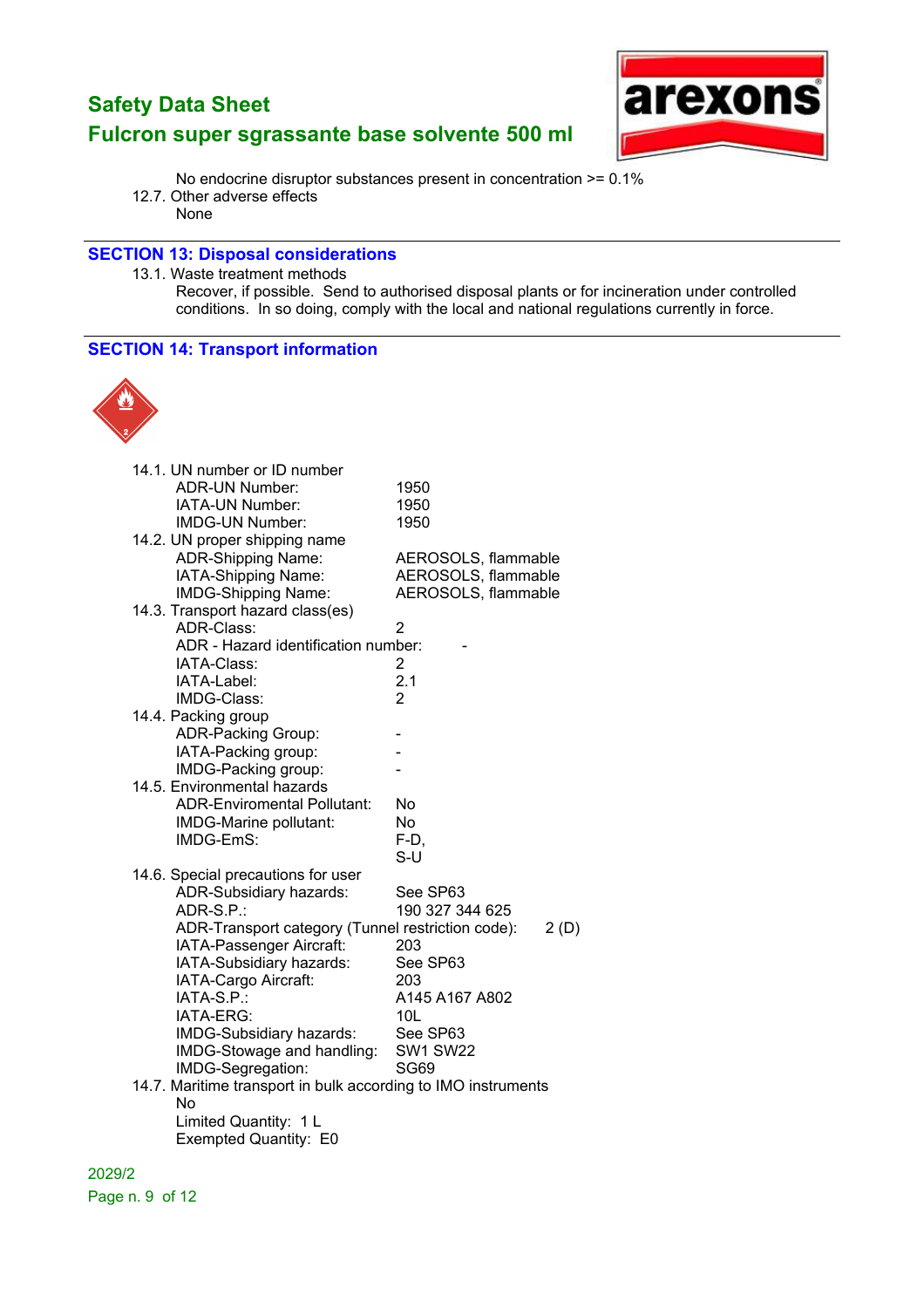

No endocrine disruptor substances present in concentration >= 0.1%

12.7. Other adverse effects None

#### **SECTION 13: Disposal considerations**

13.1. Waste treatment methods

Recover, if possible. Send to authorised disposal plants or for incineration under controlled conditions. In so doing, comply with the local and national regulations currently in force.

#### **SECTION 14: Transport information**



| 14.1. UN number or ID number                                  |                     |
|---------------------------------------------------------------|---------------------|
| ADR-UN Number:                                                | 1950                |
| IATA-UN Number:                                               | 1950                |
| <b>IMDG-UN Number:</b>                                        | 1950                |
| 14.2. UN proper shipping name                                 |                     |
| ADR-Shipping Name:                                            | AEROSOLS, flammable |
| IATA-Shipping Name:                                           | AEROSOLS, flammable |
| IMDG-Shipping Name:                                           | AEROSOLS, flammable |
| 14.3. Transport hazard class(es)                              |                     |
| ADR-Class:                                                    | 2                   |
| ADR - Hazard identification number:                           |                     |
| IATA-Class:                                                   | 2                   |
| IATA-Label:                                                   | 2.1                 |
| IMDG-Class:                                                   | $\overline{2}$      |
| 14.4. Packing group                                           |                     |
| ADR-Packing Group:                                            |                     |
| IATA-Packing group:                                           |                     |
| IMDG-Packing group:                                           |                     |
| 14.5. Environmental hazards                                   |                     |
| <b>ADR-Enviromental Pollutant:</b>                            | No                  |
| IMDG-Marine pollutant:                                        | No                  |
| IMDG-EmS:                                                     | F-D,                |
|                                                               | S-U                 |
| 14.6. Special precautions for user                            |                     |
| ADR-Subsidiary hazards:                                       | See SP63            |
| ADR-S.P.:                                                     | 190 327 344 625     |
| ADR-Transport category (Tunnel restriction code):             | 2(D)                |
| IATA-Passenger Aircraft:                                      | 203                 |
| IATA-Subsidiary hazards:                                      | See SP63            |
| IATA-Cargo Aircraft:                                          | 203                 |
| IATA-S.P.:                                                    | A145 A167 A802      |
| IATA-ERG:                                                     | 10 <sub>L</sub>     |
| IMDG-Subsidiary hazards:                                      | See SP63            |
| IMDG-Stowage and handling:                                    | <b>SW1 SW22</b>     |
| IMDG-Segregation:                                             | <b>SG69</b>         |
| 14.7. Maritime transport in bulk according to IMO instruments |                     |
| No                                                            |                     |
| Limited Quantity: 1 L                                         |                     |
| Exempted Quantity: E0                                         |                     |

2029/2 Page n. 9 of 12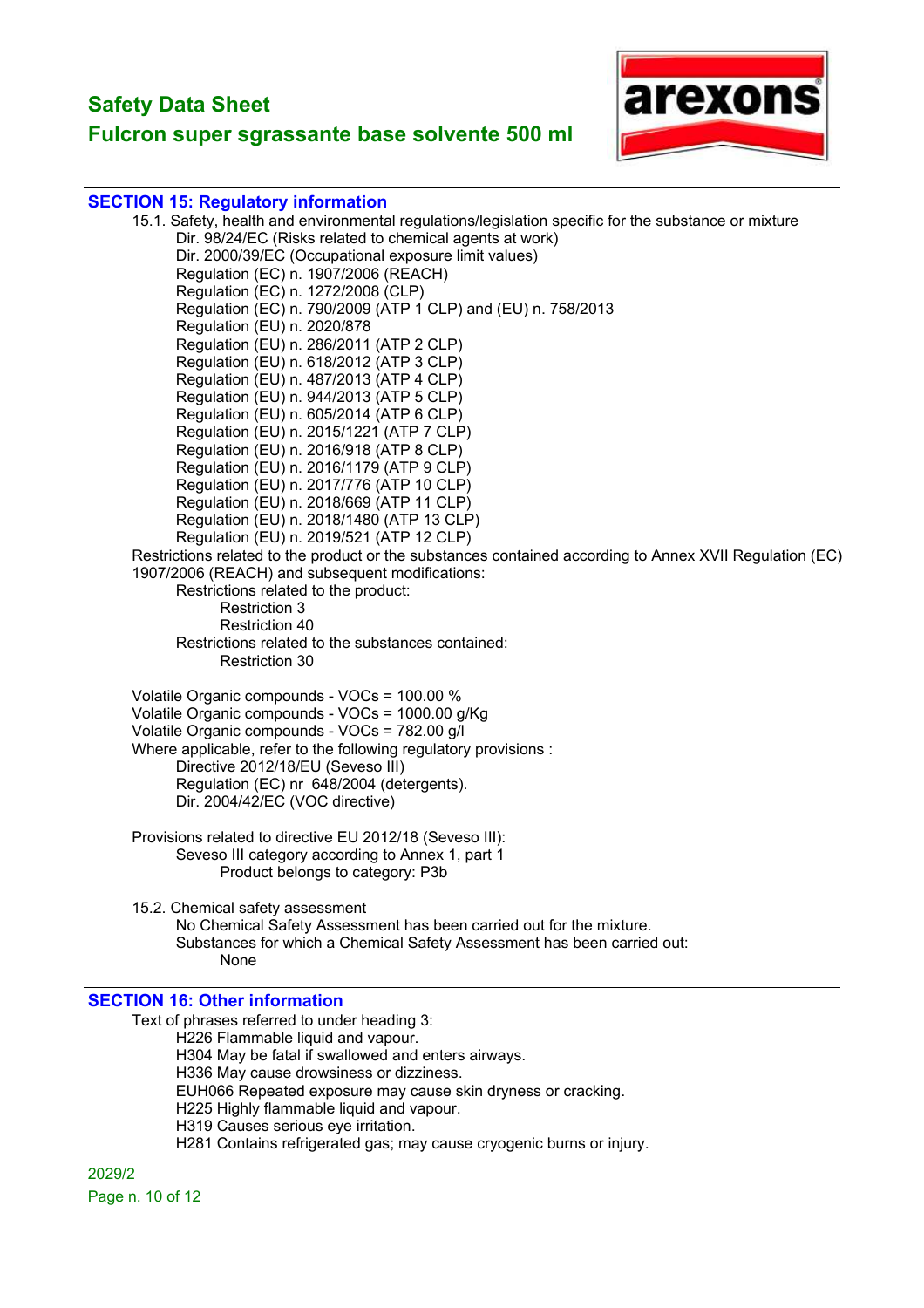## **Fulcron super sgrassante base solvente 500 ml**



#### **SECTION 15: Regulatory information**

15.1. Safety, health and environmental regulations/legislation specific for the substance or mixture Dir. 98/24/EC (Risks related to chemical agents at work) Dir. 2000/39/EC (Occupational exposure limit values) Regulation (EC) n. 1907/2006 (REACH) Regulation (EC) n. 1272/2008 (CLP) Regulation (EC) n. 790/2009 (ATP 1 CLP) and (EU) n. 758/2013 Regulation (EU) n. 2020/878 Regulation (EU) n. 286/2011 (ATP 2 CLP) Regulation (EU) n. 618/2012 (ATP 3 CLP) Regulation (EU) n. 487/2013 (ATP 4 CLP) Regulation (EU) n. 944/2013 (ATP 5 CLP) Regulation (EU) n. 605/2014 (ATP 6 CLP) Regulation (EU) n. 2015/1221 (ATP 7 CLP) Regulation (EU) n. 2016/918 (ATP 8 CLP) Regulation (EU) n. 2016/1179 (ATP 9 CLP) Regulation (EU) n. 2017/776 (ATP 10 CLP) Regulation (EU) n. 2018/669 (ATP 11 CLP) Regulation (EU) n. 2018/1480 (ATP 13 CLP) Regulation (EU) n. 2019/521 (ATP 12 CLP) Restrictions related to the product or the substances contained according to Annex XVII Regulation (EC) 1907/2006 (REACH) and subsequent modifications: Restrictions related to the product: Restriction 3 Restriction 40 Restrictions related to the substances contained: Restriction 30 Volatile Organic compounds - VOCs = 100.00 % Volatile Organic compounds - VOCs = 1000.00 g/Kg Volatile Organic compounds - VOCs = 782.00 g/l Where applicable, refer to the following regulatory provisions : Directive 2012/18/EU (Seveso III) Regulation (EC) nr 648/2004 (detergents). Dir. 2004/42/EC (VOC directive) Provisions related to directive EU 2012/18 (Seveso III): Seveso III category according to Annex 1, part 1 Product belongs to category: P3b 15.2. Chemical safety assessment No Chemical Safety Assessment has been carried out for the mixture.

Substances for which a Chemical Safety Assessment has been carried out: None

#### **SECTION 16: Other information**

Text of phrases referred to under heading 3: H226 Flammable liquid and vapour. H304 May be fatal if swallowed and enters airways. H336 May cause drowsiness or dizziness. EUH066 Repeated exposure may cause skin dryness or cracking. H225 Highly flammable liquid and vapour. H319 Causes serious eye irritation. H281 Contains refrigerated gas; may cause cryogenic burns or injury.

2029/2 Page n. 10 of 12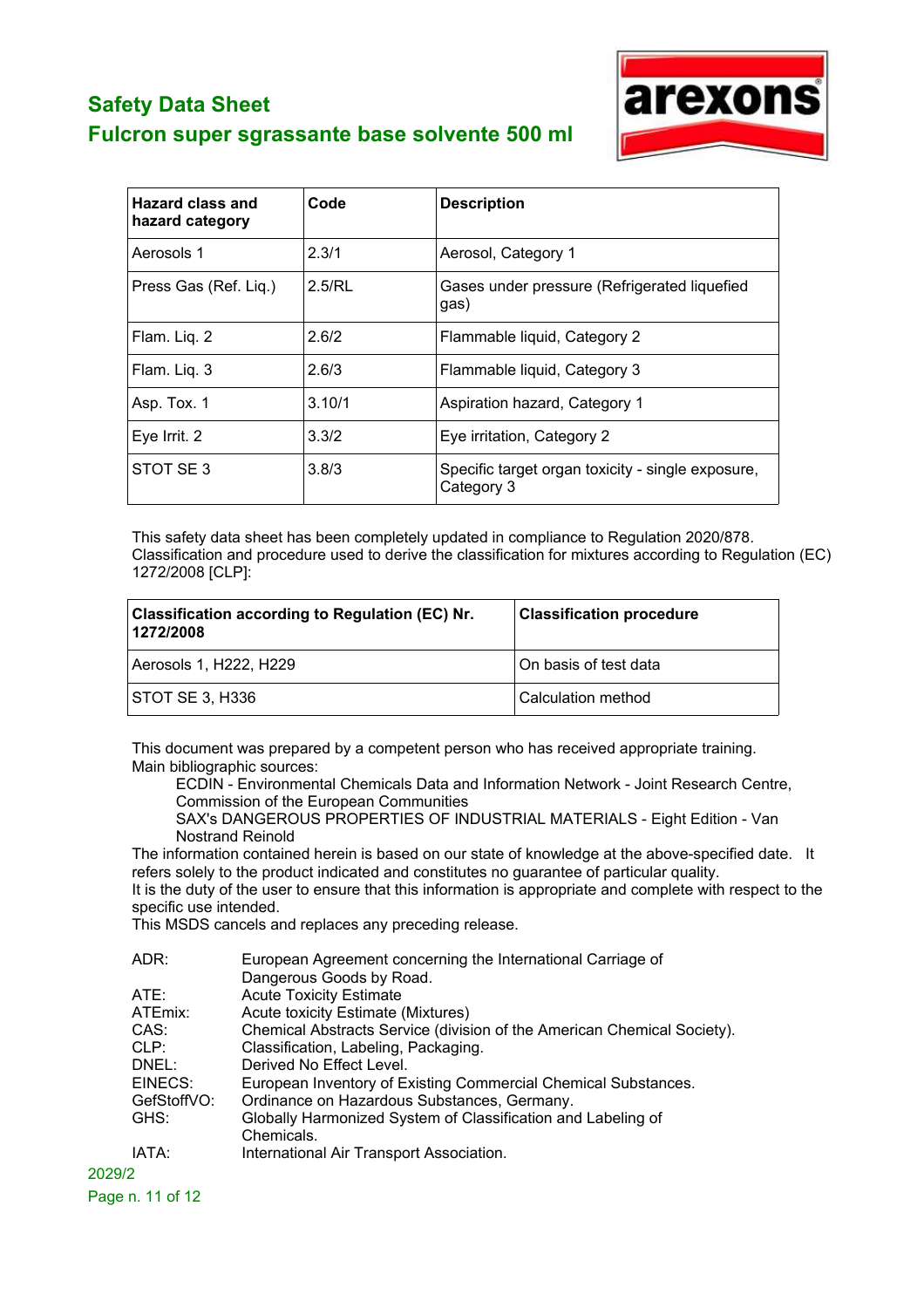

| <b>Hazard class and</b><br>hazard category | Code   | <b>Description</b>                                              |
|--------------------------------------------|--------|-----------------------------------------------------------------|
| Aerosols 1                                 | 2.3/1  | Aerosol, Category 1                                             |
| Press Gas (Ref. Liq.)                      | 2.5/RL | Gases under pressure (Refrigerated liquefied<br>gas)            |
| Flam. Liq. 2                               | 2.6/2  | Flammable liquid, Category 2                                    |
| Flam. Liq. 3                               | 2.6/3  | Flammable liquid, Category 3                                    |
| Asp. Tox. 1                                | 3.10/1 | Aspiration hazard, Category 1                                   |
| Eye Irrit. 2                               | 3.3/2  | Eye irritation, Category 2                                      |
| STOT SE3                                   | 3.8/3  | Specific target organ toxicity - single exposure,<br>Category 3 |

This safety data sheet has been completely updated in compliance to Regulation 2020/878. Classification and procedure used to derive the classification for mixtures according to Regulation (EC) 1272/2008 [CLP]:

| <b>Classification according to Regulation (EC) Nr.</b><br>1272/2008 | <b>Classification procedure</b> |
|---------------------------------------------------------------------|---------------------------------|
| Aerosols 1, H222, H229                                              | On basis of test data           |
| STOT SE 3, H336                                                     | Calculation method              |

This document was prepared by a competent person who has received appropriate training. Main bibliographic sources:

ECDIN - Environmental Chemicals Data and Information Network - Joint Research Centre, Commission of the European Communities

SAX's DANGEROUS PROPERTIES OF INDUSTRIAL MATERIALS - Eight Edition - Van Nostrand Reinold

The information contained herein is based on our state of knowledge at the above-specified date. It refers solely to the product indicated and constitutes no guarantee of particular quality.

It is the duty of the user to ensure that this information is appropriate and complete with respect to the specific use intended.

This MSDS cancels and replaces any preceding release.

| ADR:        | European Agreement concerning the International Carriage of             |
|-------------|-------------------------------------------------------------------------|
|             | Dangerous Goods by Road.                                                |
| ATE:        | <b>Acute Toxicity Estimate</b>                                          |
| ATEmix:     | <b>Acute toxicity Estimate (Mixtures)</b>                               |
| CAS:        | Chemical Abstracts Service (division of the American Chemical Society). |
| CLP:        | Classification, Labeling, Packaging.                                    |
| DNEL:       | Derived No Effect Level.                                                |
| EINECS:     | European Inventory of Existing Commercial Chemical Substances.          |
| GefStoffVO: | Ordinance on Hazardous Substances, Germany.                             |
| GHS:        | Globally Harmonized System of Classification and Labeling of            |
|             | Chemicals.                                                              |
| IATA:       | International Air Transport Association.                                |
|             |                                                                         |

2029/2 Page n. 11 of 12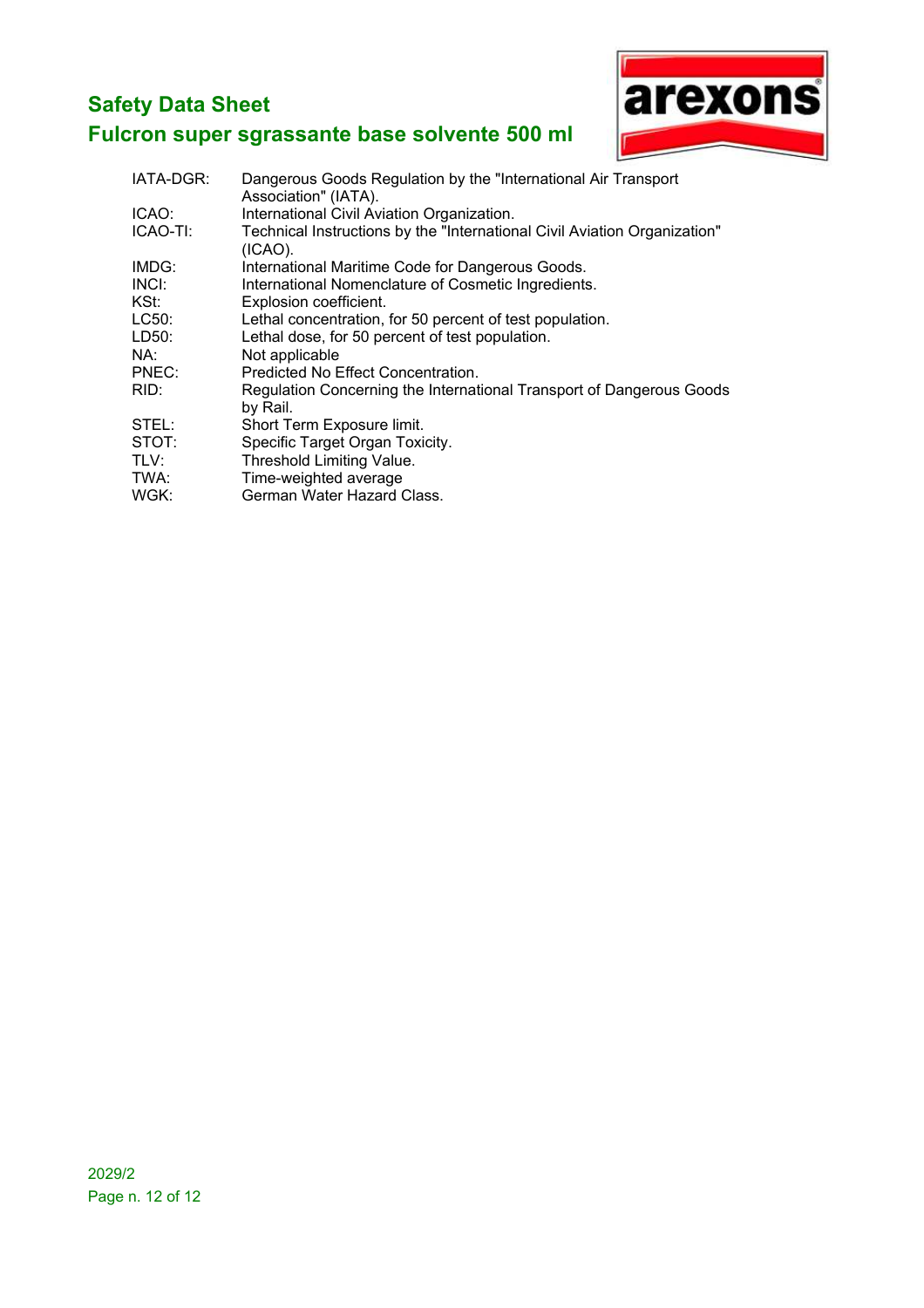

| IATA-DGR: | Dangerous Goods Regulation by the "International Air Transport"<br>Association" (IATA). |
|-----------|-----------------------------------------------------------------------------------------|
| ICAO:     | International Civil Aviation Organization.                                              |
| ICAO-TI:  | Technical Instructions by the "International Civil Aviation Organization"<br>$(ICAO)$ . |
| IMDG:     | International Maritime Code for Dangerous Goods.                                        |
| INCI:     | International Nomenclature of Cosmetic Ingredients.                                     |
| KSt:      | Explosion coefficient.                                                                  |
| LC50:     | Lethal concentration, for 50 percent of test population.                                |
| LD50:     | Lethal dose, for 50 percent of test population.                                         |
| NA:       | Not applicable                                                                          |
| PNEC:     | Predicted No Effect Concentration.                                                      |
| RID:      | Regulation Concerning the International Transport of Dangerous Goods<br>by Rail.        |
| STEL:     | Short Term Exposure limit.                                                              |
| STOT:     | Specific Target Organ Toxicity.                                                         |
| TLV:      | Threshold Limiting Value.                                                               |
| TWA:      | Time-weighted average                                                                   |
| WGK:      | German Water Hazard Class.                                                              |
|           |                                                                                         |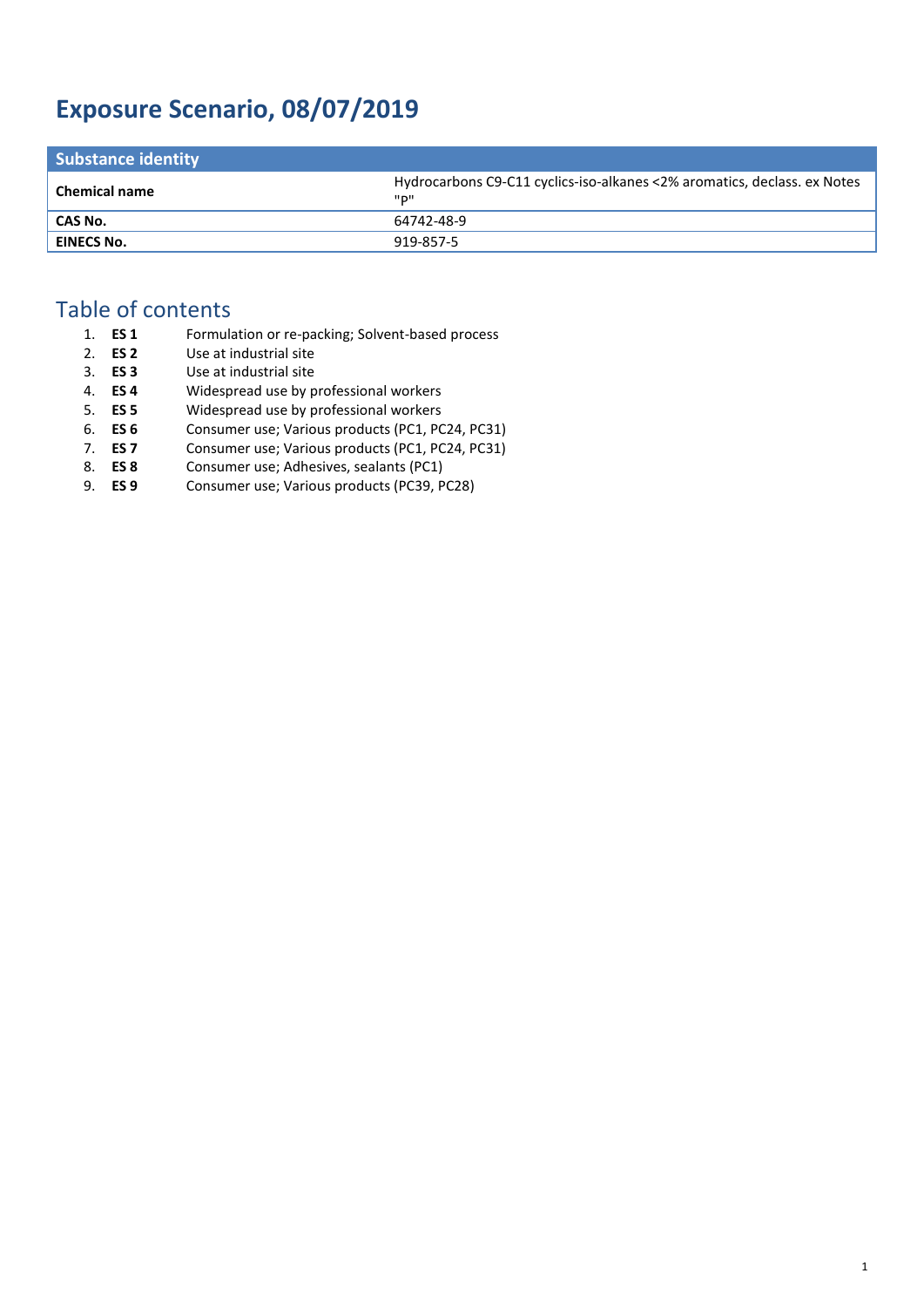# **Exposure Scenario, 08/07/2019**

| <b>Substance identity</b> |                                                                                    |
|---------------------------|------------------------------------------------------------------------------------|
| <b>Chemical name</b>      | Hydrocarbons C9-C11 cyclics-iso-alkanes <2% aromatics, declass. ex Notes<br>יים יי |
| CAS No.                   | 64742-48-9                                                                         |
| EINECS No.                | 919-857-5                                                                          |

## Table of contents

| 1. ES 1 | Formulation or re-packing; Solvent-based process |
|---------|--------------------------------------------------|
| 2. ES 2 | Use at industrial site                           |
| 3. ES 3 | Use at industrial site                           |

- 4. **ES 4** Widespread use by professional workers
- 5. **ES 5** Widespread use by professional workers
- 6. **ES 6** Consumer use; Various products (PC1, PC24, PC31)
- 7. **ES 7** Consumer use; Various products (PC1, PC24, PC31)
- 8. **ES 8** Consumer use; Adhesives, sealants (PC1)<br>9. **ES 9** Consumer use; Various products (PC39, P
- 9. **ES 9** Consumer use; Various products (PC39, PC28)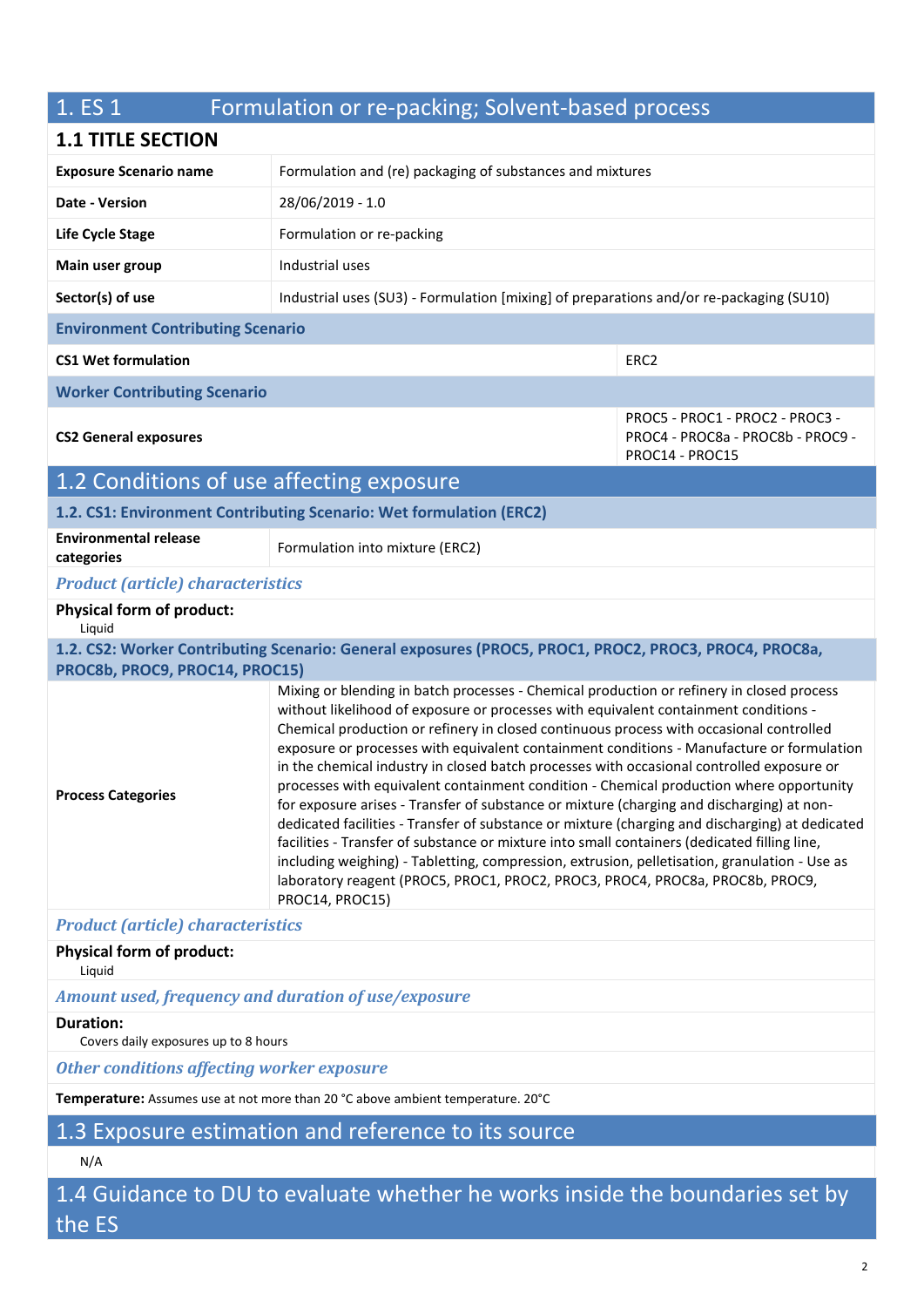| 1. ES 1                                                                         | Formulation or re-packing; Solvent-based process                                                                                                                                                                                                                                                                                                                                                                                                                                                                                                                                                                                                                                                                                                                                                                                                                                                                                                                                                                                                                       |                                                                                         |  |
|---------------------------------------------------------------------------------|------------------------------------------------------------------------------------------------------------------------------------------------------------------------------------------------------------------------------------------------------------------------------------------------------------------------------------------------------------------------------------------------------------------------------------------------------------------------------------------------------------------------------------------------------------------------------------------------------------------------------------------------------------------------------------------------------------------------------------------------------------------------------------------------------------------------------------------------------------------------------------------------------------------------------------------------------------------------------------------------------------------------------------------------------------------------|-----------------------------------------------------------------------------------------|--|
| <b>1.1 TITLE SECTION</b>                                                        |                                                                                                                                                                                                                                                                                                                                                                                                                                                                                                                                                                                                                                                                                                                                                                                                                                                                                                                                                                                                                                                                        |                                                                                         |  |
| <b>Exposure Scenario name</b>                                                   |                                                                                                                                                                                                                                                                                                                                                                                                                                                                                                                                                                                                                                                                                                                                                                                                                                                                                                                                                                                                                                                                        | Formulation and (re) packaging of substances and mixtures                               |  |
| Date - Version                                                                  | 28/06/2019 - 1.0                                                                                                                                                                                                                                                                                                                                                                                                                                                                                                                                                                                                                                                                                                                                                                                                                                                                                                                                                                                                                                                       |                                                                                         |  |
| Life Cycle Stage                                                                | Formulation or re-packing                                                                                                                                                                                                                                                                                                                                                                                                                                                                                                                                                                                                                                                                                                                                                                                                                                                                                                                                                                                                                                              |                                                                                         |  |
| Main user group                                                                 | Industrial uses                                                                                                                                                                                                                                                                                                                                                                                                                                                                                                                                                                                                                                                                                                                                                                                                                                                                                                                                                                                                                                                        |                                                                                         |  |
| Sector(s) of use                                                                | Industrial uses (SU3) - Formulation [mixing] of preparations and/or re-packaging (SU10)                                                                                                                                                                                                                                                                                                                                                                                                                                                                                                                                                                                                                                                                                                                                                                                                                                                                                                                                                                                |                                                                                         |  |
| <b>Environment Contributing Scenario</b>                                        |                                                                                                                                                                                                                                                                                                                                                                                                                                                                                                                                                                                                                                                                                                                                                                                                                                                                                                                                                                                                                                                                        |                                                                                         |  |
| <b>CS1 Wet formulation</b>                                                      |                                                                                                                                                                                                                                                                                                                                                                                                                                                                                                                                                                                                                                                                                                                                                                                                                                                                                                                                                                                                                                                                        | ERC <sub>2</sub>                                                                        |  |
| <b>Worker Contributing Scenario</b>                                             |                                                                                                                                                                                                                                                                                                                                                                                                                                                                                                                                                                                                                                                                                                                                                                                                                                                                                                                                                                                                                                                                        |                                                                                         |  |
| <b>CS2 General exposures</b>                                                    |                                                                                                                                                                                                                                                                                                                                                                                                                                                                                                                                                                                                                                                                                                                                                                                                                                                                                                                                                                                                                                                                        | PROC5 - PROC1 - PROC2 - PROC3 -<br>PROC4 - PROC8a - PROC8b - PROC9 -<br>PROC14 - PROC15 |  |
| 1.2 Conditions of use affecting exposure                                        |                                                                                                                                                                                                                                                                                                                                                                                                                                                                                                                                                                                                                                                                                                                                                                                                                                                                                                                                                                                                                                                                        |                                                                                         |  |
|                                                                                 | 1.2. CS1: Environment Contributing Scenario: Wet formulation (ERC2)                                                                                                                                                                                                                                                                                                                                                                                                                                                                                                                                                                                                                                                                                                                                                                                                                                                                                                                                                                                                    |                                                                                         |  |
| <b>Environmental release</b><br>categories                                      | Formulation into mixture (ERC2)                                                                                                                                                                                                                                                                                                                                                                                                                                                                                                                                                                                                                                                                                                                                                                                                                                                                                                                                                                                                                                        |                                                                                         |  |
| <b>Product (article) characteristics</b>                                        |                                                                                                                                                                                                                                                                                                                                                                                                                                                                                                                                                                                                                                                                                                                                                                                                                                                                                                                                                                                                                                                                        |                                                                                         |  |
| <b>Physical form of product:</b><br>Liquid                                      |                                                                                                                                                                                                                                                                                                                                                                                                                                                                                                                                                                                                                                                                                                                                                                                                                                                                                                                                                                                                                                                                        |                                                                                         |  |
| PROC8b, PROC9, PROC14, PROC15)                                                  | 1.2. CS2: Worker Contributing Scenario: General exposures (PROC5, PROC1, PROC2, PROC3, PROC4, PROC8a,                                                                                                                                                                                                                                                                                                                                                                                                                                                                                                                                                                                                                                                                                                                                                                                                                                                                                                                                                                  |                                                                                         |  |
| <b>Process Categories</b>                                                       | Mixing or blending in batch processes - Chemical production or refinery in closed process<br>without likelihood of exposure or processes with equivalent containment conditions -<br>Chemical production or refinery in closed continuous process with occasional controlled<br>exposure or processes with equivalent containment conditions - Manufacture or formulation<br>in the chemical industry in closed batch processes with occasional controlled exposure or<br>processes with equivalent containment condition - Chemical production where opportunity<br>for exposure arises - Transfer of substance or mixture (charging and discharging) at non-<br>dedicated facilities - Transfer of substance or mixture (charging and discharging) at dedicated<br>facilities - Transfer of substance or mixture into small containers (dedicated filling line,<br>including weighing) - Tabletting, compression, extrusion, pelletisation, granulation - Use as<br>laboratory reagent (PROC5, PROC1, PROC2, PROC3, PROC4, PROC8a, PROC8b, PROC9,<br>PROC14, PROC15) |                                                                                         |  |
| <b>Product (article) characteristics</b>                                        |                                                                                                                                                                                                                                                                                                                                                                                                                                                                                                                                                                                                                                                                                                                                                                                                                                                                                                                                                                                                                                                                        |                                                                                         |  |
| <b>Physical form of product:</b><br>Liquid                                      |                                                                                                                                                                                                                                                                                                                                                                                                                                                                                                                                                                                                                                                                                                                                                                                                                                                                                                                                                                                                                                                                        |                                                                                         |  |
| Amount used, frequency and duration of use/exposure                             |                                                                                                                                                                                                                                                                                                                                                                                                                                                                                                                                                                                                                                                                                                                                                                                                                                                                                                                                                                                                                                                                        |                                                                                         |  |
| <b>Duration:</b><br>Covers daily exposures up to 8 hours                        |                                                                                                                                                                                                                                                                                                                                                                                                                                                                                                                                                                                                                                                                                                                                                                                                                                                                                                                                                                                                                                                                        |                                                                                         |  |
| <b>Other conditions affecting worker exposure</b>                               |                                                                                                                                                                                                                                                                                                                                                                                                                                                                                                                                                                                                                                                                                                                                                                                                                                                                                                                                                                                                                                                                        |                                                                                         |  |
| Temperature: Assumes use at not more than 20 °C above ambient temperature. 20°C |                                                                                                                                                                                                                                                                                                                                                                                                                                                                                                                                                                                                                                                                                                                                                                                                                                                                                                                                                                                                                                                                        |                                                                                         |  |

# 1.3 Exposure estimation and reference to its source

## N/A

1.4 Guidance to DU to evaluate whether he works inside the boundaries set by the ES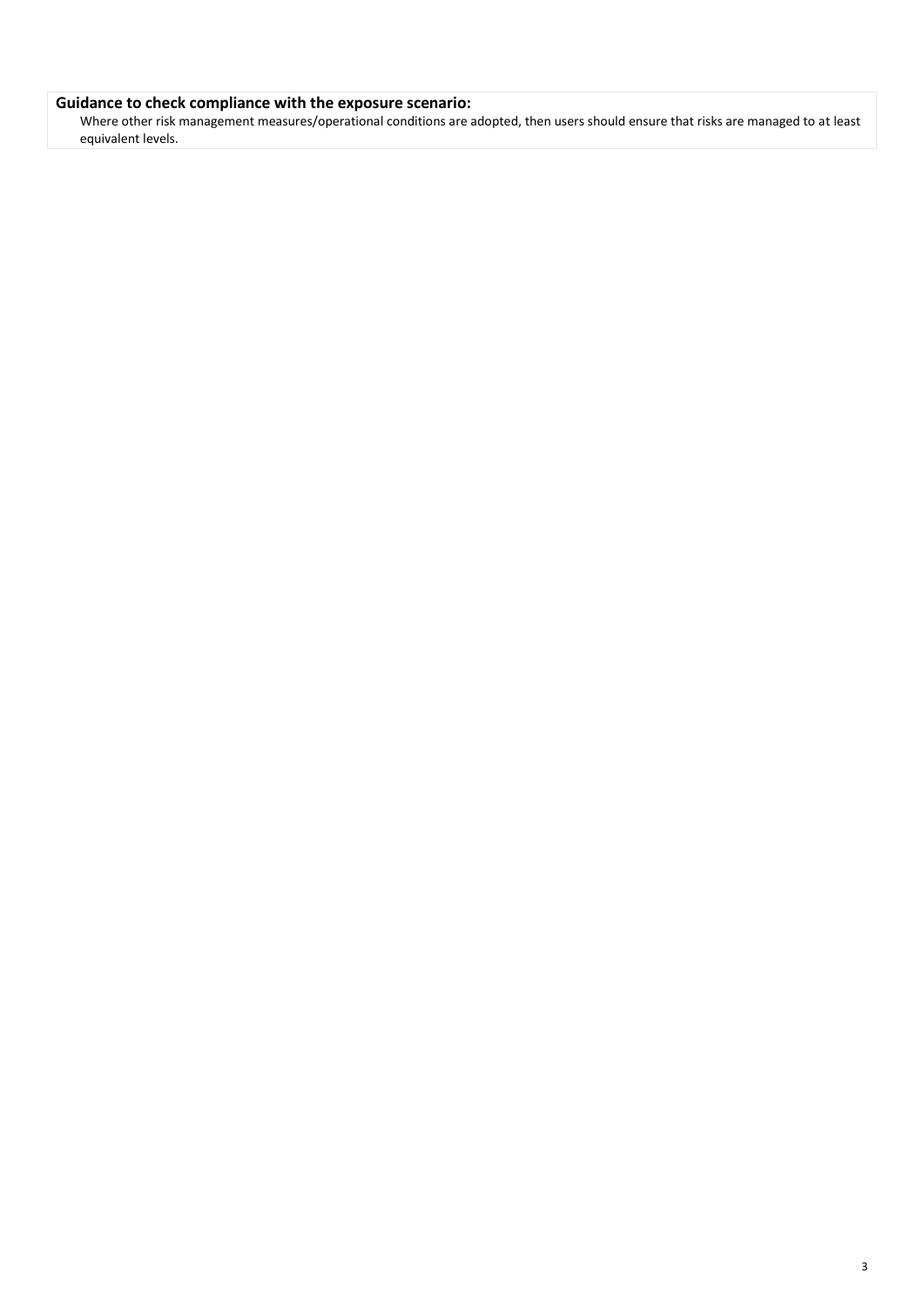#### **Guidance to check compliance with the exposure scenario:**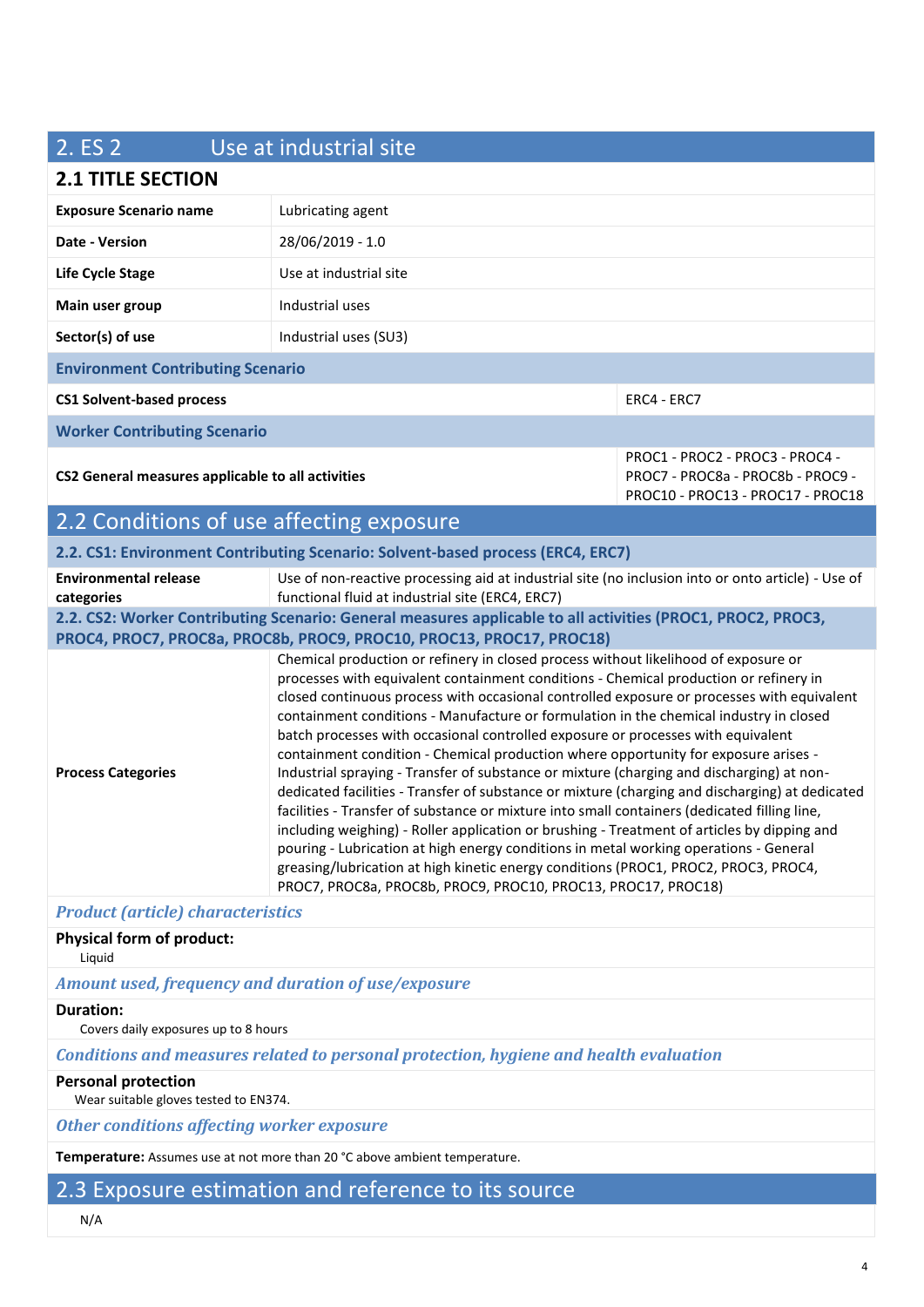| 2. ES 2                                                                                                                                                                                                                                                                                                                                                                                                                                                                                                                                                                                                                                                                                                                                                                                                                                                                                                                                                                                                                                                                                                                                                                                                                      | Use at industrial site                                                                                                                                 |                                                                                                           |  |
|------------------------------------------------------------------------------------------------------------------------------------------------------------------------------------------------------------------------------------------------------------------------------------------------------------------------------------------------------------------------------------------------------------------------------------------------------------------------------------------------------------------------------------------------------------------------------------------------------------------------------------------------------------------------------------------------------------------------------------------------------------------------------------------------------------------------------------------------------------------------------------------------------------------------------------------------------------------------------------------------------------------------------------------------------------------------------------------------------------------------------------------------------------------------------------------------------------------------------|--------------------------------------------------------------------------------------------------------------------------------------------------------|-----------------------------------------------------------------------------------------------------------|--|
| <b>2.1 TITLE SECTION</b>                                                                                                                                                                                                                                                                                                                                                                                                                                                                                                                                                                                                                                                                                                                                                                                                                                                                                                                                                                                                                                                                                                                                                                                                     |                                                                                                                                                        |                                                                                                           |  |
| <b>Exposure Scenario name</b>                                                                                                                                                                                                                                                                                                                                                                                                                                                                                                                                                                                                                                                                                                                                                                                                                                                                                                                                                                                                                                                                                                                                                                                                | Lubricating agent                                                                                                                                      |                                                                                                           |  |
| Date - Version                                                                                                                                                                                                                                                                                                                                                                                                                                                                                                                                                                                                                                                                                                                                                                                                                                                                                                                                                                                                                                                                                                                                                                                                               | 28/06/2019 - 1.0                                                                                                                                       |                                                                                                           |  |
| Life Cycle Stage                                                                                                                                                                                                                                                                                                                                                                                                                                                                                                                                                                                                                                                                                                                                                                                                                                                                                                                                                                                                                                                                                                                                                                                                             | Use at industrial site                                                                                                                                 |                                                                                                           |  |
| Main user group                                                                                                                                                                                                                                                                                                                                                                                                                                                                                                                                                                                                                                                                                                                                                                                                                                                                                                                                                                                                                                                                                                                                                                                                              | Industrial uses                                                                                                                                        |                                                                                                           |  |
| Sector(s) of use                                                                                                                                                                                                                                                                                                                                                                                                                                                                                                                                                                                                                                                                                                                                                                                                                                                                                                                                                                                                                                                                                                                                                                                                             | Industrial uses (SU3)                                                                                                                                  |                                                                                                           |  |
| <b>Environment Contributing Scenario</b>                                                                                                                                                                                                                                                                                                                                                                                                                                                                                                                                                                                                                                                                                                                                                                                                                                                                                                                                                                                                                                                                                                                                                                                     |                                                                                                                                                        |                                                                                                           |  |
| <b>CS1 Solvent-based process</b>                                                                                                                                                                                                                                                                                                                                                                                                                                                                                                                                                                                                                                                                                                                                                                                                                                                                                                                                                                                                                                                                                                                                                                                             |                                                                                                                                                        | ERC4 - ERC7                                                                                               |  |
| <b>Worker Contributing Scenario</b>                                                                                                                                                                                                                                                                                                                                                                                                                                                                                                                                                                                                                                                                                                                                                                                                                                                                                                                                                                                                                                                                                                                                                                                          |                                                                                                                                                        |                                                                                                           |  |
| CS2 General measures applicable to all activities                                                                                                                                                                                                                                                                                                                                                                                                                                                                                                                                                                                                                                                                                                                                                                                                                                                                                                                                                                                                                                                                                                                                                                            |                                                                                                                                                        | PROC1 - PROC2 - PROC3 - PROC4 -<br>PROC7 - PROC8a - PROC8b - PROC9 -<br>PROC10 - PROC13 - PROC17 - PROC18 |  |
| 2.2 Conditions of use affecting exposure                                                                                                                                                                                                                                                                                                                                                                                                                                                                                                                                                                                                                                                                                                                                                                                                                                                                                                                                                                                                                                                                                                                                                                                     |                                                                                                                                                        |                                                                                                           |  |
|                                                                                                                                                                                                                                                                                                                                                                                                                                                                                                                                                                                                                                                                                                                                                                                                                                                                                                                                                                                                                                                                                                                                                                                                                              | 2.2. CS1: Environment Contributing Scenario: Solvent-based process (ERC4, ERC7)                                                                        |                                                                                                           |  |
| <b>Environmental release</b><br>categories                                                                                                                                                                                                                                                                                                                                                                                                                                                                                                                                                                                                                                                                                                                                                                                                                                                                                                                                                                                                                                                                                                                                                                                   | Use of non-reactive processing aid at industrial site (no inclusion into or onto article) - Use of<br>functional fluid at industrial site (ERC4, ERC7) |                                                                                                           |  |
| 2.2. CS2: Worker Contributing Scenario: General measures applicable to all activities (PROC1, PROC2, PROC3,<br>PROC4, PROC7, PROC8a, PROC8b, PROC9, PROC10, PROC13, PROC17, PROC18)                                                                                                                                                                                                                                                                                                                                                                                                                                                                                                                                                                                                                                                                                                                                                                                                                                                                                                                                                                                                                                          |                                                                                                                                                        |                                                                                                           |  |
| Chemical production or refinery in closed process without likelihood of exposure or<br>processes with equivalent containment conditions - Chemical production or refinery in<br>closed continuous process with occasional controlled exposure or processes with equivalent<br>containment conditions - Manufacture or formulation in the chemical industry in closed<br>batch processes with occasional controlled exposure or processes with equivalent<br>containment condition - Chemical production where opportunity for exposure arises -<br>Industrial spraying - Transfer of substance or mixture (charging and discharging) at non-<br><b>Process Categories</b><br>dedicated facilities - Transfer of substance or mixture (charging and discharging) at dedicated<br>facilities - Transfer of substance or mixture into small containers (dedicated filling line,<br>including weighing) - Roller application or brushing - Treatment of articles by dipping and<br>pouring - Lubrication at high energy conditions in metal working operations - General<br>greasing/lubrication at high kinetic energy conditions (PROC1, PROC2, PROC3, PROC4,<br>PROC7, PROC8a, PROC8b, PROC9, PROC10, PROC13, PROC17, PROC18) |                                                                                                                                                        |                                                                                                           |  |
| <b>Product (article) characteristics</b>                                                                                                                                                                                                                                                                                                                                                                                                                                                                                                                                                                                                                                                                                                                                                                                                                                                                                                                                                                                                                                                                                                                                                                                     |                                                                                                                                                        |                                                                                                           |  |
|                                                                                                                                                                                                                                                                                                                                                                                                                                                                                                                                                                                                                                                                                                                                                                                                                                                                                                                                                                                                                                                                                                                                                                                                                              |                                                                                                                                                        |                                                                                                           |  |

#### **Physical form of product:**

Liquid

*Amount used, frequency and duration of use/exposure*

#### **Duration:**

Covers daily exposures up to 8 hours

*Conditions and measures related to personal protection, hygiene and health evaluation*

#### **Personal protection**

Wear suitable gloves tested to EN374.

*Other conditions affecting worker exposure*

**Temperature:** Assumes use at not more than 20 °C above ambient temperature.

## 2.3 Exposure estimation and reference to its source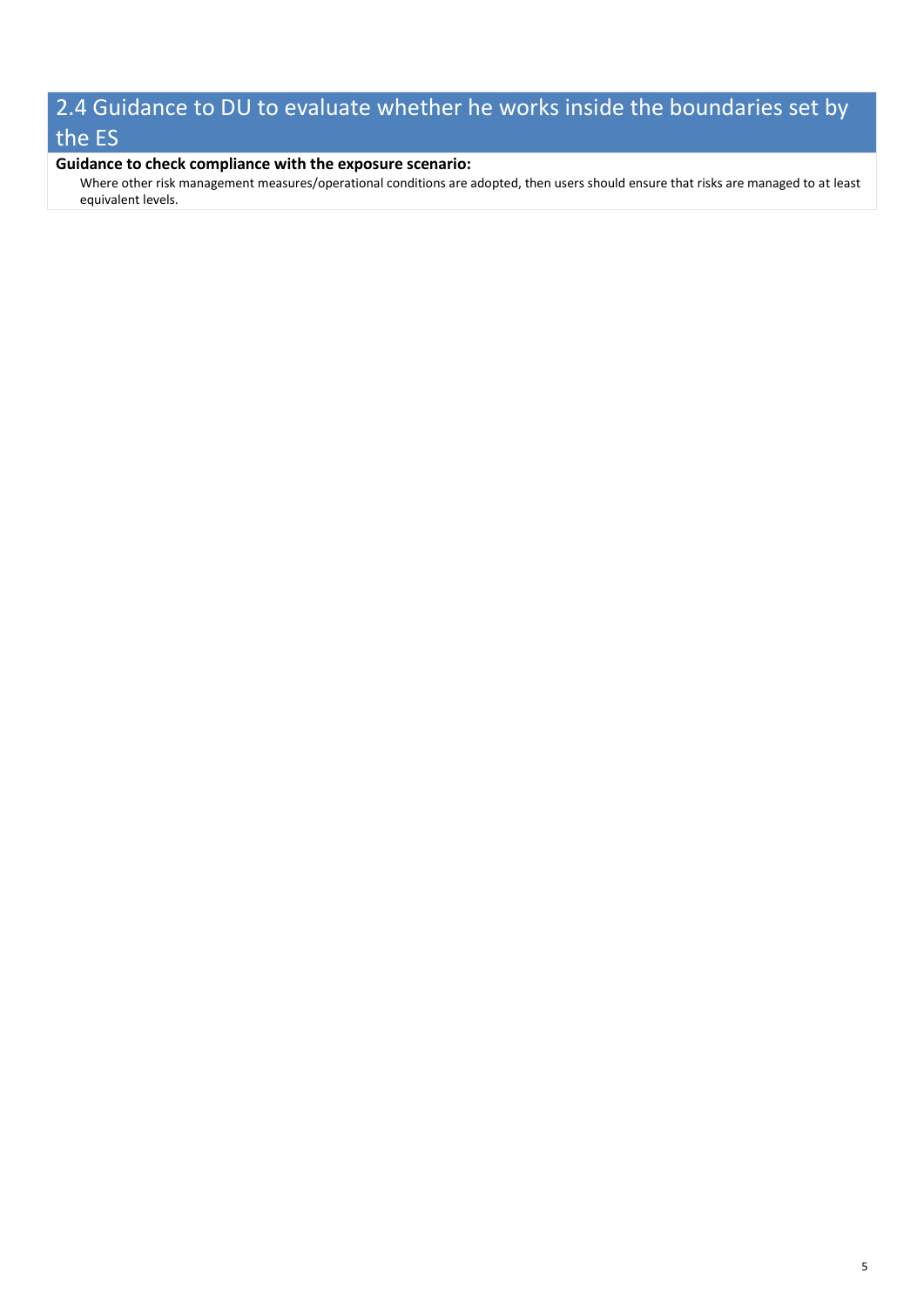# 2.4 Guidance to DU to evaluate whether he works inside the boundaries set by the ES

#### **Guidance to check compliance with the exposure scenario:**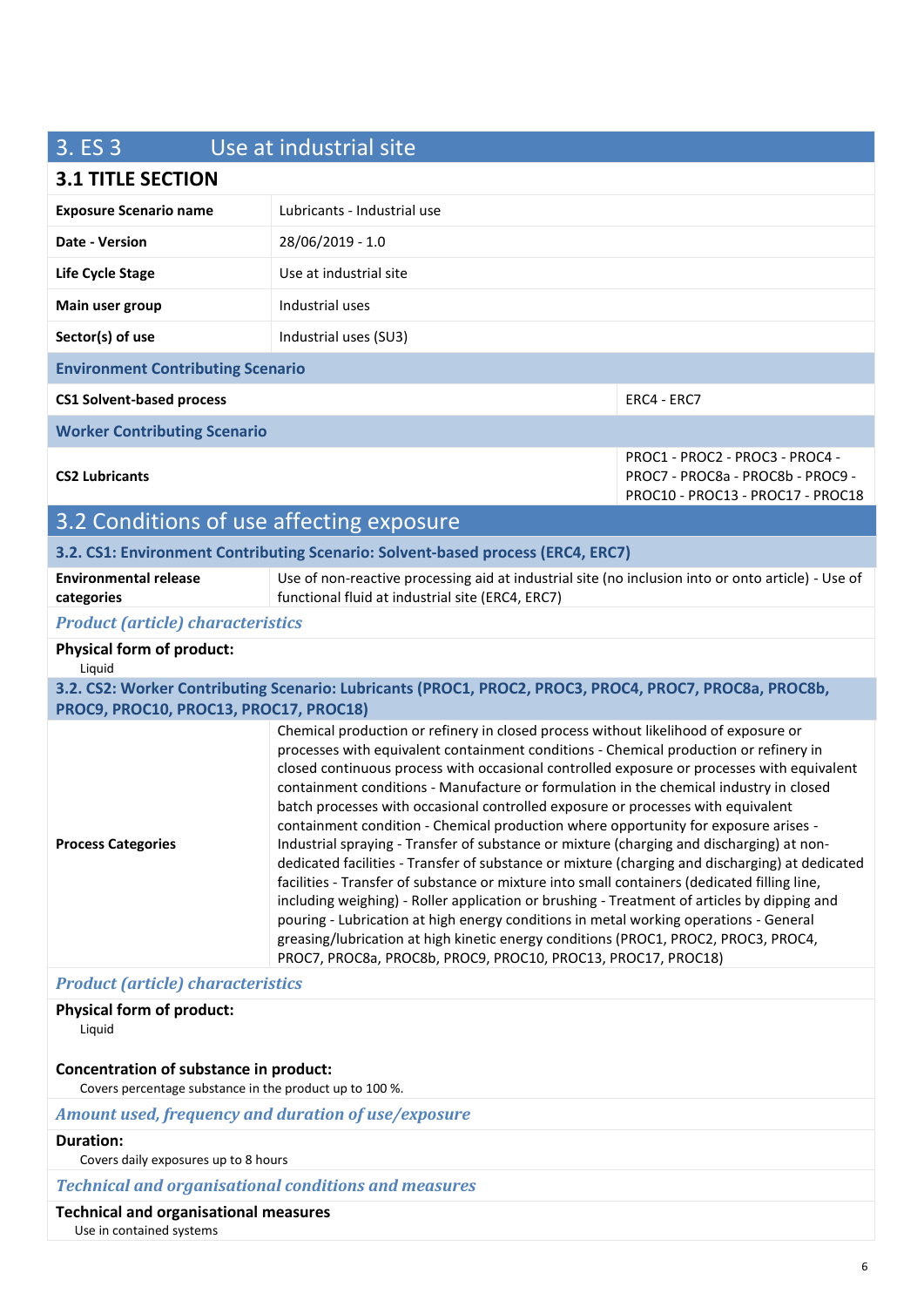| 3. ES 3                                                                                           | Use at industrial site                                                                                                                                                                                                                                                                                                                                                                                                                                                                                                                                                                                                                                                                                                                                                                                                                                                                                                                                                                                                                                                                                                                                                                          |                                                                                                           |
|---------------------------------------------------------------------------------------------------|-------------------------------------------------------------------------------------------------------------------------------------------------------------------------------------------------------------------------------------------------------------------------------------------------------------------------------------------------------------------------------------------------------------------------------------------------------------------------------------------------------------------------------------------------------------------------------------------------------------------------------------------------------------------------------------------------------------------------------------------------------------------------------------------------------------------------------------------------------------------------------------------------------------------------------------------------------------------------------------------------------------------------------------------------------------------------------------------------------------------------------------------------------------------------------------------------|-----------------------------------------------------------------------------------------------------------|
| <b>3.1 TITLE SECTION</b>                                                                          |                                                                                                                                                                                                                                                                                                                                                                                                                                                                                                                                                                                                                                                                                                                                                                                                                                                                                                                                                                                                                                                                                                                                                                                                 |                                                                                                           |
| <b>Exposure Scenario name</b>                                                                     | Lubricants - Industrial use                                                                                                                                                                                                                                                                                                                                                                                                                                                                                                                                                                                                                                                                                                                                                                                                                                                                                                                                                                                                                                                                                                                                                                     |                                                                                                           |
| Date - Version                                                                                    | 28/06/2019 - 1.0                                                                                                                                                                                                                                                                                                                                                                                                                                                                                                                                                                                                                                                                                                                                                                                                                                                                                                                                                                                                                                                                                                                                                                                |                                                                                                           |
| <b>Life Cycle Stage</b>                                                                           | Use at industrial site                                                                                                                                                                                                                                                                                                                                                                                                                                                                                                                                                                                                                                                                                                                                                                                                                                                                                                                                                                                                                                                                                                                                                                          |                                                                                                           |
| Main user group                                                                                   | Industrial uses                                                                                                                                                                                                                                                                                                                                                                                                                                                                                                                                                                                                                                                                                                                                                                                                                                                                                                                                                                                                                                                                                                                                                                                 |                                                                                                           |
| Sector(s) of use                                                                                  | Industrial uses (SU3)                                                                                                                                                                                                                                                                                                                                                                                                                                                                                                                                                                                                                                                                                                                                                                                                                                                                                                                                                                                                                                                                                                                                                                           |                                                                                                           |
| <b>Environment Contributing Scenario</b>                                                          |                                                                                                                                                                                                                                                                                                                                                                                                                                                                                                                                                                                                                                                                                                                                                                                                                                                                                                                                                                                                                                                                                                                                                                                                 |                                                                                                           |
| <b>CS1 Solvent-based process</b>                                                                  |                                                                                                                                                                                                                                                                                                                                                                                                                                                                                                                                                                                                                                                                                                                                                                                                                                                                                                                                                                                                                                                                                                                                                                                                 | ERC4 - ERC7                                                                                               |
| <b>Worker Contributing Scenario</b>                                                               |                                                                                                                                                                                                                                                                                                                                                                                                                                                                                                                                                                                                                                                                                                                                                                                                                                                                                                                                                                                                                                                                                                                                                                                                 |                                                                                                           |
| <b>CS2 Lubricants</b>                                                                             |                                                                                                                                                                                                                                                                                                                                                                                                                                                                                                                                                                                                                                                                                                                                                                                                                                                                                                                                                                                                                                                                                                                                                                                                 | PROC1 - PROC2 - PROC3 - PROC4 -<br>PROC7 - PROC8a - PROC8b - PROC9 -<br>PROC10 - PROC13 - PROC17 - PROC18 |
| 3.2 Conditions of use affecting exposure                                                          |                                                                                                                                                                                                                                                                                                                                                                                                                                                                                                                                                                                                                                                                                                                                                                                                                                                                                                                                                                                                                                                                                                                                                                                                 |                                                                                                           |
|                                                                                                   | 3.2. CS1: Environment Contributing Scenario: Solvent-based process (ERC4, ERC7)                                                                                                                                                                                                                                                                                                                                                                                                                                                                                                                                                                                                                                                                                                                                                                                                                                                                                                                                                                                                                                                                                                                 |                                                                                                           |
| <b>Environmental release</b><br>categories                                                        | Use of non-reactive processing aid at industrial site (no inclusion into or onto article) - Use of<br>functional fluid at industrial site (ERC4, ERC7)                                                                                                                                                                                                                                                                                                                                                                                                                                                                                                                                                                                                                                                                                                                                                                                                                                                                                                                                                                                                                                          |                                                                                                           |
| <b>Product (article) characteristics</b>                                                          |                                                                                                                                                                                                                                                                                                                                                                                                                                                                                                                                                                                                                                                                                                                                                                                                                                                                                                                                                                                                                                                                                                                                                                                                 |                                                                                                           |
| <b>Physical form of product:</b><br>Liquid                                                        |                                                                                                                                                                                                                                                                                                                                                                                                                                                                                                                                                                                                                                                                                                                                                                                                                                                                                                                                                                                                                                                                                                                                                                                                 |                                                                                                           |
|                                                                                                   | 3.2. CS2: Worker Contributing Scenario: Lubricants (PROC1, PROC2, PROC3, PROC4, PROC7, PROC8a, PROC8b,                                                                                                                                                                                                                                                                                                                                                                                                                                                                                                                                                                                                                                                                                                                                                                                                                                                                                                                                                                                                                                                                                          |                                                                                                           |
| PROC9, PROC10, PROC13, PROC17, PROC18)<br><b>Process Categories</b>                               | Chemical production or refinery in closed process without likelihood of exposure or<br>processes with equivalent containment conditions - Chemical production or refinery in<br>closed continuous process with occasional controlled exposure or processes with equivalent<br>containment conditions - Manufacture or formulation in the chemical industry in closed<br>batch processes with occasional controlled exposure or processes with equivalent<br>containment condition - Chemical production where opportunity for exposure arises -<br>Industrial spraying - Transfer of substance or mixture (charging and discharging) at non-<br>dedicated facilities - Transfer of substance or mixture (charging and discharging) at dedicated<br>facilities - Transfer of substance or mixture into small containers (dedicated filling line,<br>including weighing) - Roller application or brushing - Treatment of articles by dipping and<br>pouring - Lubrication at high energy conditions in metal working operations - General<br>greasing/lubrication at high kinetic energy conditions (PROC1, PROC2, PROC3, PROC4,<br>PROC7, PROC8a, PROC8b, PROC9, PROC10, PROC13, PROC17, PROC18) |                                                                                                           |
| <b>Product (article) characteristics</b>                                                          |                                                                                                                                                                                                                                                                                                                                                                                                                                                                                                                                                                                                                                                                                                                                                                                                                                                                                                                                                                                                                                                                                                                                                                                                 |                                                                                                           |
| <b>Physical form of product:</b><br>Liquid                                                        |                                                                                                                                                                                                                                                                                                                                                                                                                                                                                                                                                                                                                                                                                                                                                                                                                                                                                                                                                                                                                                                                                                                                                                                                 |                                                                                                           |
| Concentration of substance in product:<br>Covers percentage substance in the product up to 100 %. |                                                                                                                                                                                                                                                                                                                                                                                                                                                                                                                                                                                                                                                                                                                                                                                                                                                                                                                                                                                                                                                                                                                                                                                                 |                                                                                                           |
| Amount used, frequency and duration of use/exposure                                               |                                                                                                                                                                                                                                                                                                                                                                                                                                                                                                                                                                                                                                                                                                                                                                                                                                                                                                                                                                                                                                                                                                                                                                                                 |                                                                                                           |
| <b>Duration:</b><br>Covers daily exposures up to 8 hours                                          |                                                                                                                                                                                                                                                                                                                                                                                                                                                                                                                                                                                                                                                                                                                                                                                                                                                                                                                                                                                                                                                                                                                                                                                                 |                                                                                                           |
|                                                                                                   |                                                                                                                                                                                                                                                                                                                                                                                                                                                                                                                                                                                                                                                                                                                                                                                                                                                                                                                                                                                                                                                                                                                                                                                                 |                                                                                                           |

*Technical and organisational conditions and measures*

#### **Technical and organisational measures**

Use in contained systems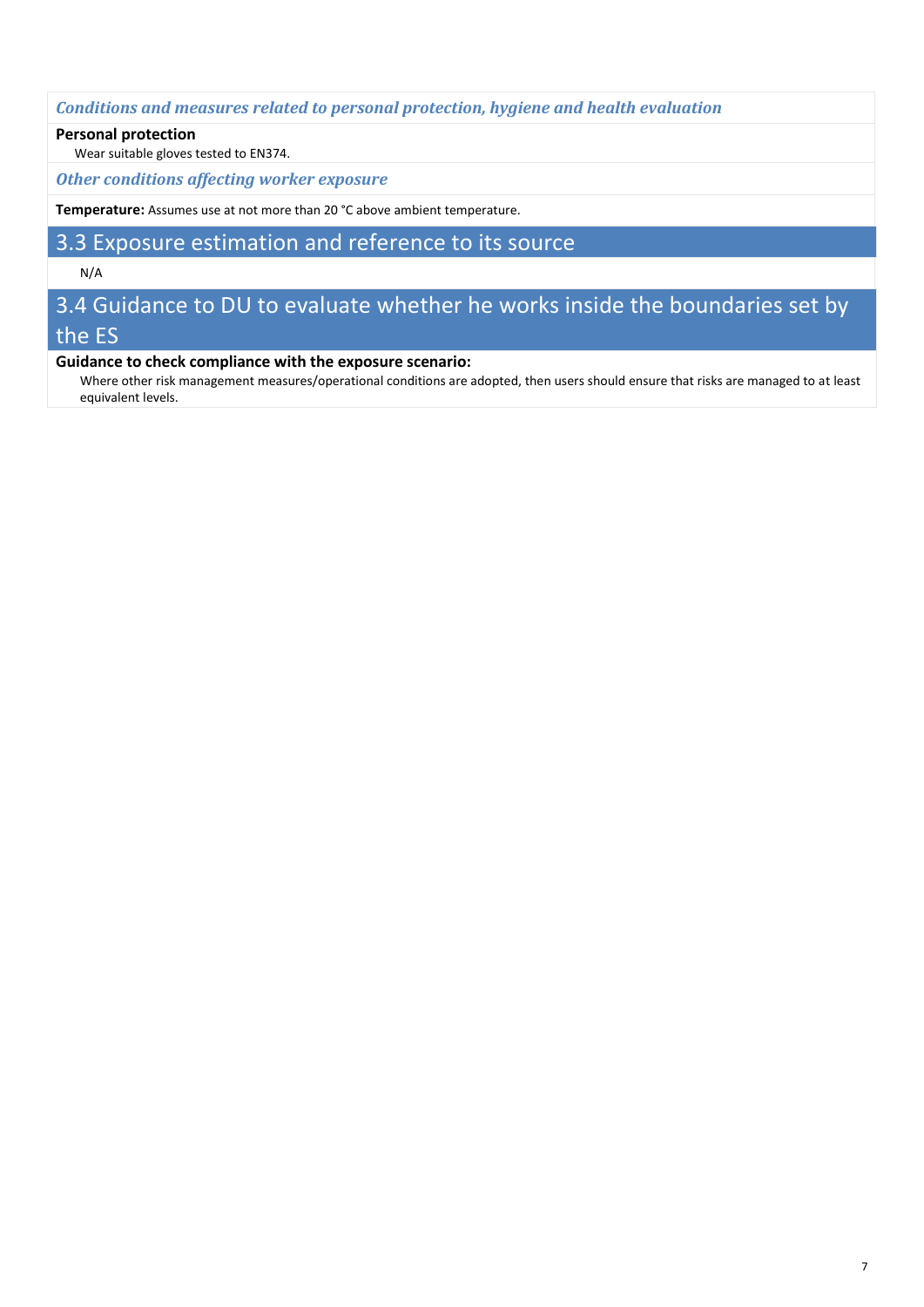*Conditions and measures related to personal protection, hygiene and health evaluation*

#### **Personal protection**

Wear suitable gloves tested to EN374.

*Other conditions affecting worker exposure*

**Temperature:** Assumes use at not more than 20 °C above ambient temperature.

## 3.3 Exposure estimation and reference to its source

#### N/A

## 3.4 Guidance to DU to evaluate whether he works inside the boundaries set by the ES

#### **Guidance to check compliance with the exposure scenario:**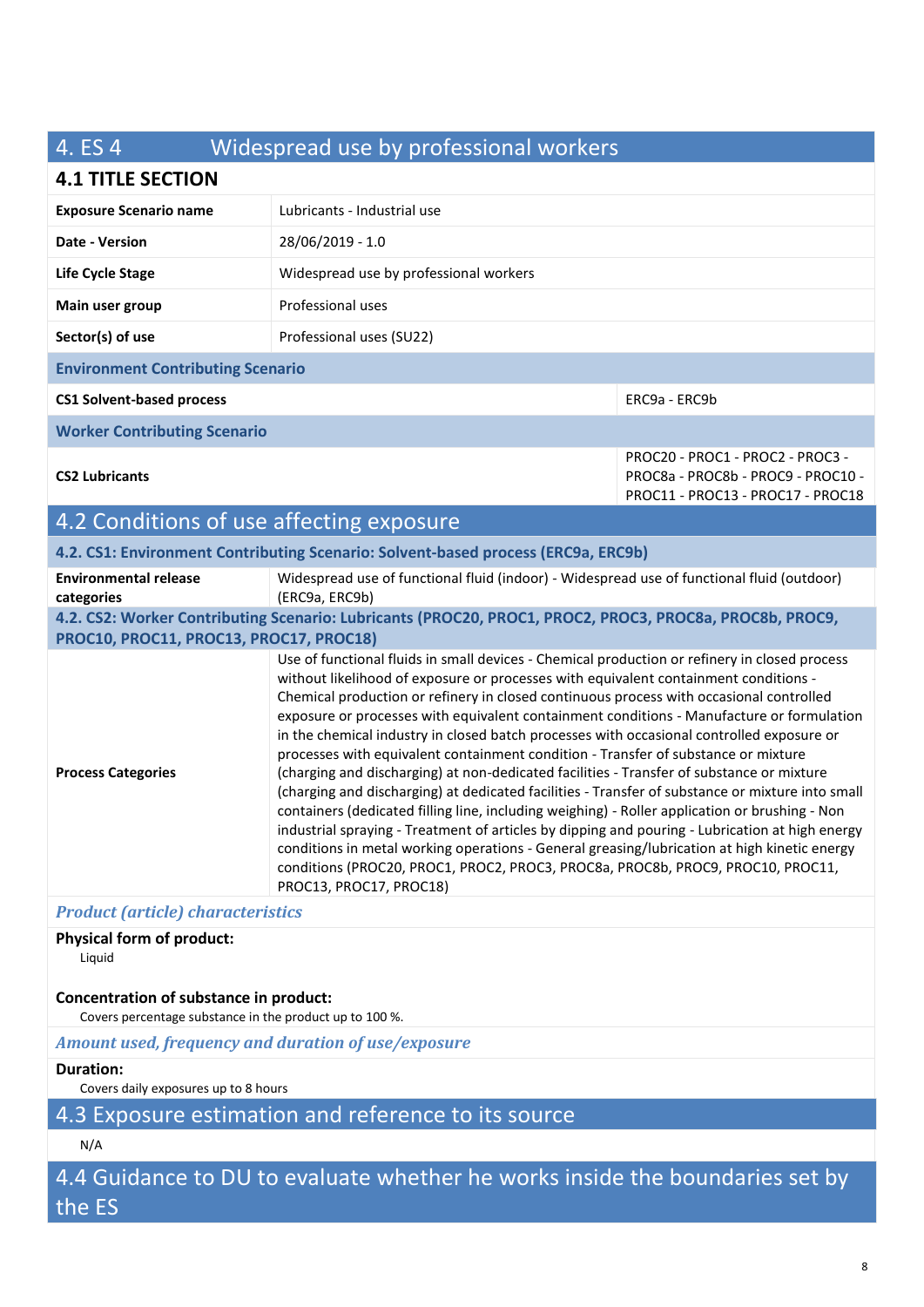## 4. ES 4 Widespread use by professional workers

## **4.1 TITLE SECTION**

| <b>Exposure Scenario name</b>                                                     | Lubricants - Industrial use                                                                                  |                                                                                                             |
|-----------------------------------------------------------------------------------|--------------------------------------------------------------------------------------------------------------|-------------------------------------------------------------------------------------------------------------|
| Date - Version                                                                    | 28/06/2019 - 1.0                                                                                             |                                                                                                             |
| Life Cycle Stage                                                                  | Widespread use by professional workers                                                                       |                                                                                                             |
| Main user group                                                                   | Professional uses                                                                                            |                                                                                                             |
| Sector(s) of use                                                                  | Professional uses (SU22)                                                                                     |                                                                                                             |
| <b>Environment Contributing Scenario</b>                                          |                                                                                                              |                                                                                                             |
| <b>CS1 Solvent-based process</b>                                                  |                                                                                                              | ERC9a - ERC9b                                                                                               |
| <b>Worker Contributing Scenario</b>                                               |                                                                                                              |                                                                                                             |
| <b>CS2 Lubricants</b>                                                             |                                                                                                              | PROC20 - PROC1 - PROC2 - PROC3 -<br>PROC8a - PROC8b - PROC9 - PROC10 -<br>PROC11 - PROC13 - PROC17 - PROC18 |
| 4.2 Conditions of use affecting exposure                                          |                                                                                                              |                                                                                                             |
| 4.2. CS1: Environment Contributing Scenario: Solvent-based process (ERC9a, ERC9b) |                                                                                                              |                                                                                                             |
| <b>Environmental release</b><br>categories                                        | Widespread use of functional fluid (indoor) - Widespread use of functional fluid (outdoor)<br>(ERC9a, ERC9b) |                                                                                                             |

### **4.2. CS2: Worker Contributing Scenario: Lubricants (PROC20, PROC1, PROC2, PROC3, PROC8a, PROC8b, PROC9, PROC10, PROC11, PROC13, PROC17, PROC18)**

**Process Categories** Use of functional fluids in small devices - Chemical production or refinery in closed process without likelihood of exposure or processes with equivalent containment conditions - Chemical production or refinery in closed continuous process with occasional controlled exposure or processes with equivalent containment conditions - Manufacture or formulation in the chemical industry in closed batch processes with occasional controlled exposure or processes with equivalent containment condition - Transfer of substance or mixture (charging and discharging) at non-dedicated facilities - Transfer of substance or mixture (charging and discharging) at dedicated facilities - Transfer of substance or mixture into small containers (dedicated filling line, including weighing) - Roller application or brushing - Non industrial spraying - Treatment of articles by dipping and pouring - Lubrication at high energy conditions in metal working operations - General greasing/lubrication at high kinetic energy conditions (PROC20, PROC1, PROC2, PROC3, PROC8a, PROC8b, PROC9, PROC10, PROC11, PROC13, PROC17, PROC18)

#### *Product (article) characteristics*

## **Physical form of product:**

Liquid

## **Concentration of substance in product:**

Covers percentage substance in the product up to 100 %.

## *Amount used, frequency and duration of use/exposure*

#### **Duration:**

Covers daily exposures up to 8 hours

## 4.3 Exposure estimation and reference to its source

## N/A

4.4 Guidance to DU to evaluate whether he works inside the boundaries set by the ES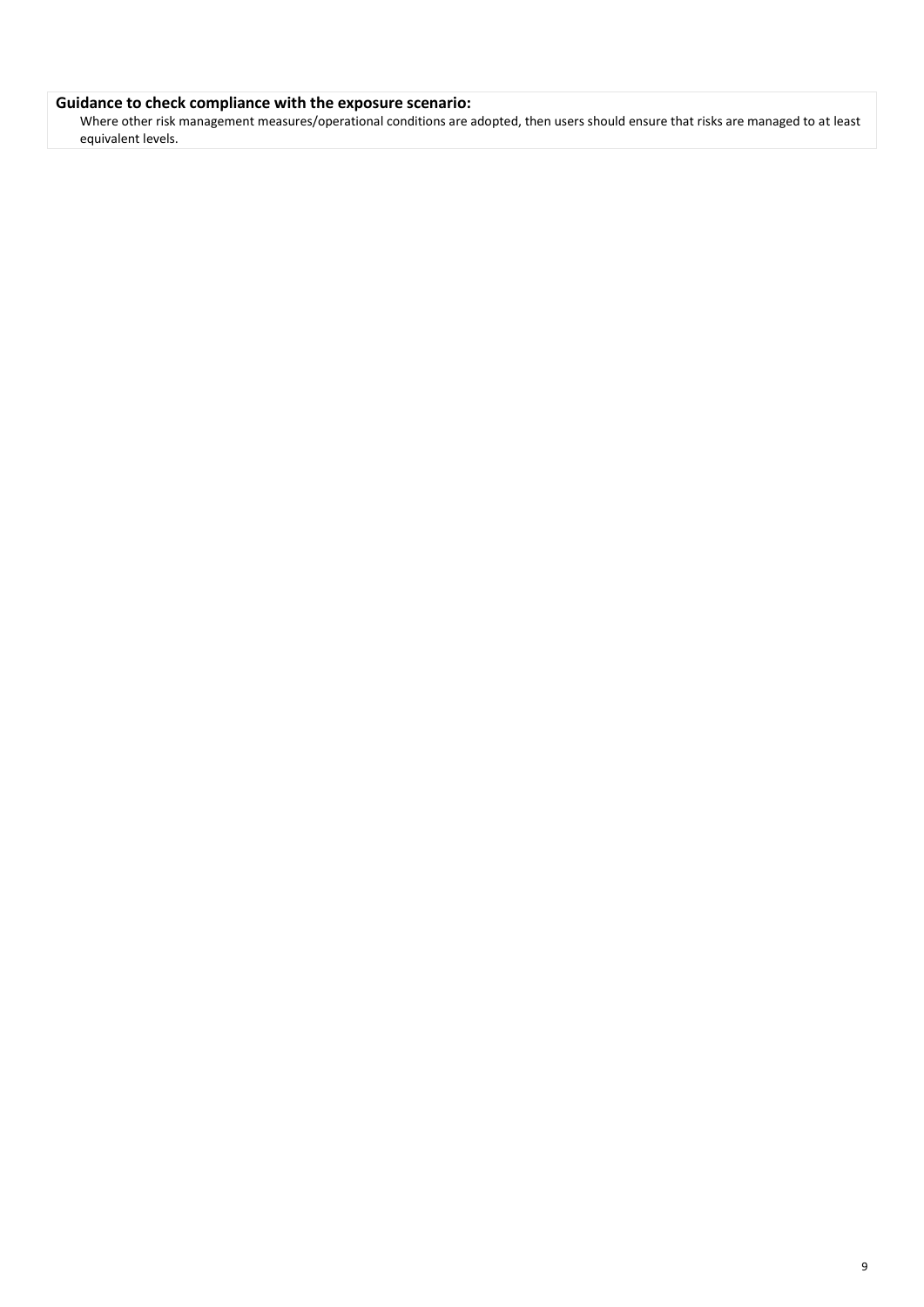#### **Guidance to check compliance with the exposure scenario:**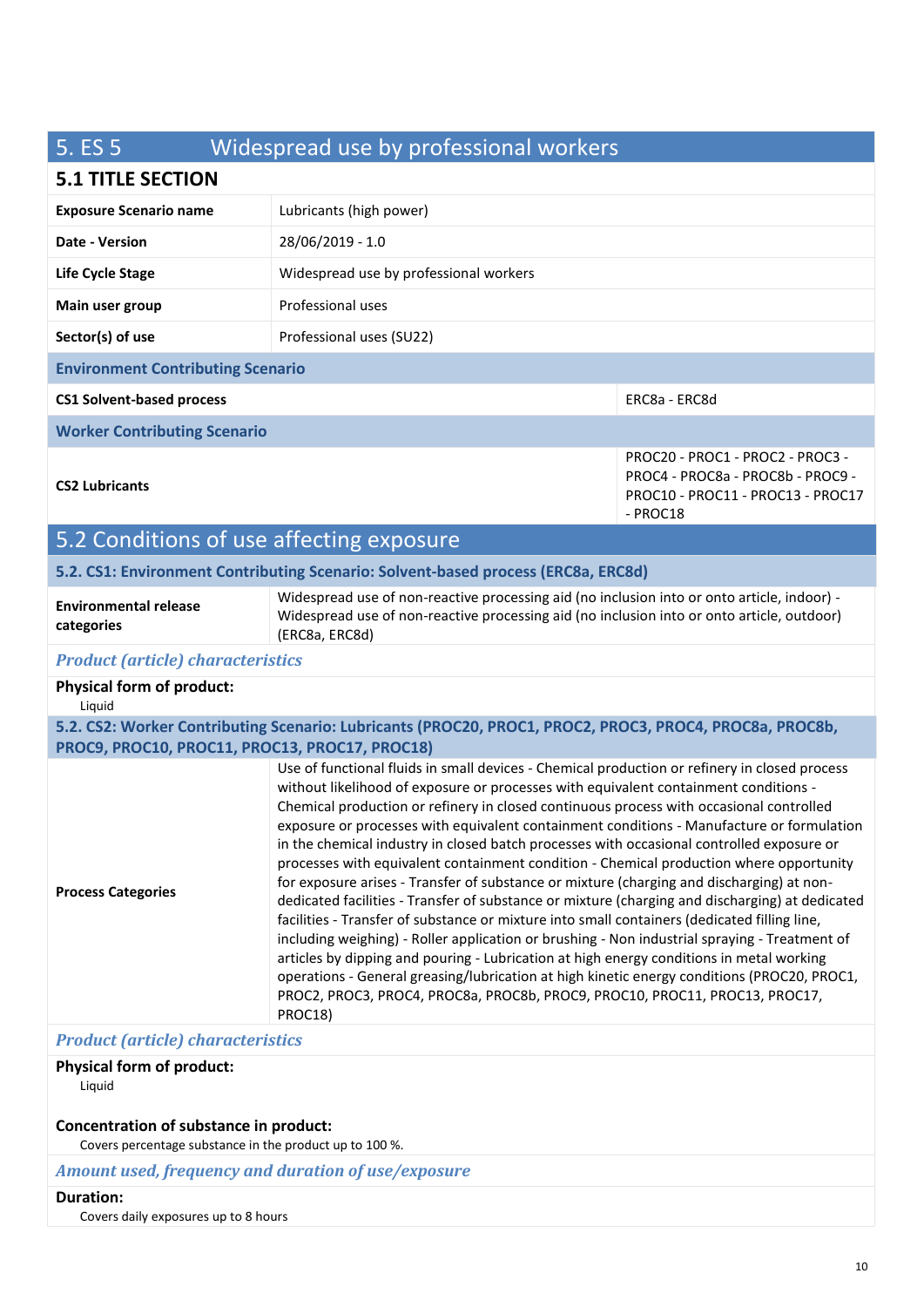# 5. ES 5 Widespread use by professional workers

## **5.1 TITLE SECTION**

| <b>D.L THLE SECTION</b>                        |                                                                                                                                                                                                                                                                                                                                                                                                                                                                                                                                                                                                                                                                                                                                                                                                                                                                                                                                                                                                                                                                                                                                                                                                                                                             |                                                                                                                        |
|------------------------------------------------|-------------------------------------------------------------------------------------------------------------------------------------------------------------------------------------------------------------------------------------------------------------------------------------------------------------------------------------------------------------------------------------------------------------------------------------------------------------------------------------------------------------------------------------------------------------------------------------------------------------------------------------------------------------------------------------------------------------------------------------------------------------------------------------------------------------------------------------------------------------------------------------------------------------------------------------------------------------------------------------------------------------------------------------------------------------------------------------------------------------------------------------------------------------------------------------------------------------------------------------------------------------|------------------------------------------------------------------------------------------------------------------------|
| <b>Exposure Scenario name</b>                  | Lubricants (high power)                                                                                                                                                                                                                                                                                                                                                                                                                                                                                                                                                                                                                                                                                                                                                                                                                                                                                                                                                                                                                                                                                                                                                                                                                                     |                                                                                                                        |
| <b>Date - Version</b>                          | 28/06/2019 - 1.0                                                                                                                                                                                                                                                                                                                                                                                                                                                                                                                                                                                                                                                                                                                                                                                                                                                                                                                                                                                                                                                                                                                                                                                                                                            |                                                                                                                        |
| Life Cycle Stage                               | Widespread use by professional workers                                                                                                                                                                                                                                                                                                                                                                                                                                                                                                                                                                                                                                                                                                                                                                                                                                                                                                                                                                                                                                                                                                                                                                                                                      |                                                                                                                        |
| Main user group                                | Professional uses                                                                                                                                                                                                                                                                                                                                                                                                                                                                                                                                                                                                                                                                                                                                                                                                                                                                                                                                                                                                                                                                                                                                                                                                                                           |                                                                                                                        |
| Sector(s) of use                               | Professional uses (SU22)                                                                                                                                                                                                                                                                                                                                                                                                                                                                                                                                                                                                                                                                                                                                                                                                                                                                                                                                                                                                                                                                                                                                                                                                                                    |                                                                                                                        |
| <b>Environment Contributing Scenario</b>       |                                                                                                                                                                                                                                                                                                                                                                                                                                                                                                                                                                                                                                                                                                                                                                                                                                                                                                                                                                                                                                                                                                                                                                                                                                                             |                                                                                                                        |
| <b>CS1 Solvent-based process</b>               |                                                                                                                                                                                                                                                                                                                                                                                                                                                                                                                                                                                                                                                                                                                                                                                                                                                                                                                                                                                                                                                                                                                                                                                                                                                             | ERC8a - ERC8d                                                                                                          |
| <b>Worker Contributing Scenario</b>            |                                                                                                                                                                                                                                                                                                                                                                                                                                                                                                                                                                                                                                                                                                                                                                                                                                                                                                                                                                                                                                                                                                                                                                                                                                                             |                                                                                                                        |
| <b>CS2 Lubricants</b>                          |                                                                                                                                                                                                                                                                                                                                                                                                                                                                                                                                                                                                                                                                                                                                                                                                                                                                                                                                                                                                                                                                                                                                                                                                                                                             | PROC20 - PROC1 - PROC2 - PROC3 -<br>PROC4 - PROC8a - PROC8b - PROC9 -<br>PROC10 - PROC11 - PROC13 - PROC17<br>- PROC18 |
| 5.2 Conditions of use affecting exposure       |                                                                                                                                                                                                                                                                                                                                                                                                                                                                                                                                                                                                                                                                                                                                                                                                                                                                                                                                                                                                                                                                                                                                                                                                                                                             |                                                                                                                        |
|                                                | 5.2. CS1: Environment Contributing Scenario: Solvent-based process (ERC8a, ERC8d)                                                                                                                                                                                                                                                                                                                                                                                                                                                                                                                                                                                                                                                                                                                                                                                                                                                                                                                                                                                                                                                                                                                                                                           |                                                                                                                        |
| <b>Environmental release</b><br>categories     | Widespread use of non-reactive processing aid (no inclusion into or onto article, indoor) -<br>Widespread use of non-reactive processing aid (no inclusion into or onto article, outdoor)<br>(ERC8a, ERC8d)                                                                                                                                                                                                                                                                                                                                                                                                                                                                                                                                                                                                                                                                                                                                                                                                                                                                                                                                                                                                                                                 |                                                                                                                        |
| <b>Product (article) characteristics</b>       |                                                                                                                                                                                                                                                                                                                                                                                                                                                                                                                                                                                                                                                                                                                                                                                                                                                                                                                                                                                                                                                                                                                                                                                                                                                             |                                                                                                                        |
| <b>Physical form of product:</b><br>Liquid     |                                                                                                                                                                                                                                                                                                                                                                                                                                                                                                                                                                                                                                                                                                                                                                                                                                                                                                                                                                                                                                                                                                                                                                                                                                                             |                                                                                                                        |
| PROC9, PROC10, PROC11, PROC13, PROC17, PROC18) | 5.2. CS2: Worker Contributing Scenario: Lubricants (PROC20, PROC1, PROC2, PROC3, PROC4, PROC8a, PROC8b,                                                                                                                                                                                                                                                                                                                                                                                                                                                                                                                                                                                                                                                                                                                                                                                                                                                                                                                                                                                                                                                                                                                                                     |                                                                                                                        |
| <b>Process Categories</b>                      | Use of functional fluids in small devices - Chemical production or refinery in closed process<br>without likelihood of exposure or processes with equivalent containment conditions -<br>Chemical production or refinery in closed continuous process with occasional controlled<br>exposure or processes with equivalent containment conditions - Manufacture or formulation<br>in the chemical industry in closed batch processes with occasional controlled exposure or<br>processes with equivalent containment condition - Chemical production where opportunity<br>for exposure arises - Transfer of substance or mixture (charging and discharging) at non-<br>dedicated facilities - Transfer of substance or mixture (charging and discharging) at dedicated<br>facilities - Transfer of substance or mixture into small containers (dedicated filling line,<br>including weighing) - Roller application or brushing - Non industrial spraying - Treatment of<br>articles by dipping and pouring - Lubrication at high energy conditions in metal working<br>operations - General greasing/lubrication at high kinetic energy conditions (PROC20, PROC1,<br>PROC2, PROC3, PROC4, PROC8a, PROC8b, PROC9, PROC10, PROC11, PROC13, PROC17,<br>PROC18) |                                                                                                                        |

#### *Product (article) characteristics*

## **Physical form of product:**

Liquid

#### **Concentration of substance in product:**

Covers percentage substance in the product up to 100 %.

#### *Amount used, frequency and duration of use/exposure*

#### **Duration:**

Covers daily exposures up to 8 hours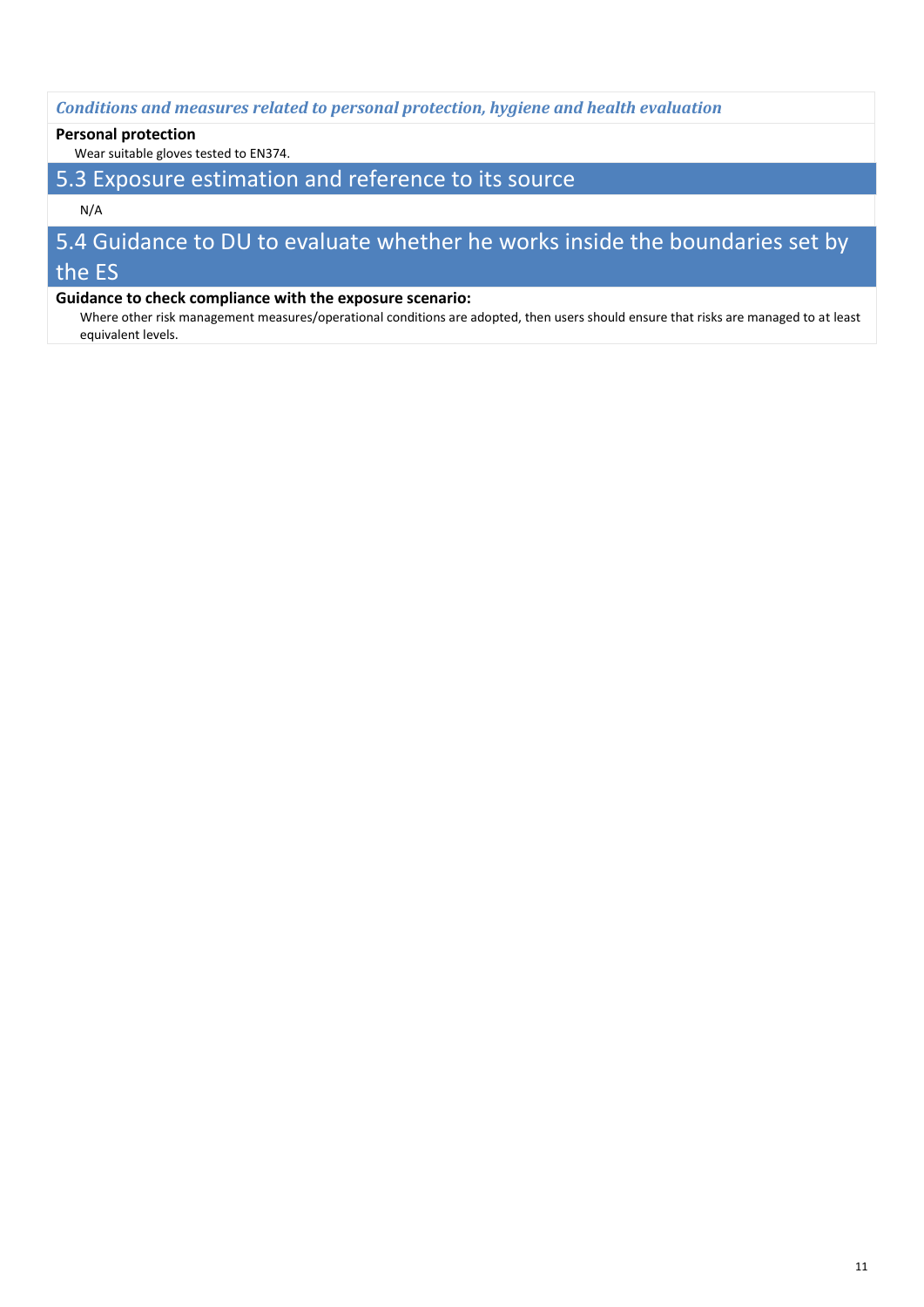#### *Conditions and measures related to personal protection, hygiene and health evaluation*

#### **Personal protection**

Wear suitable gloves tested to EN374.

## 5.3 Exposure estimation and reference to its source

#### N/A

## 5.4 Guidance to DU to evaluate whether he works inside the boundaries set by the ES

#### **Guidance to check compliance with the exposure scenario:**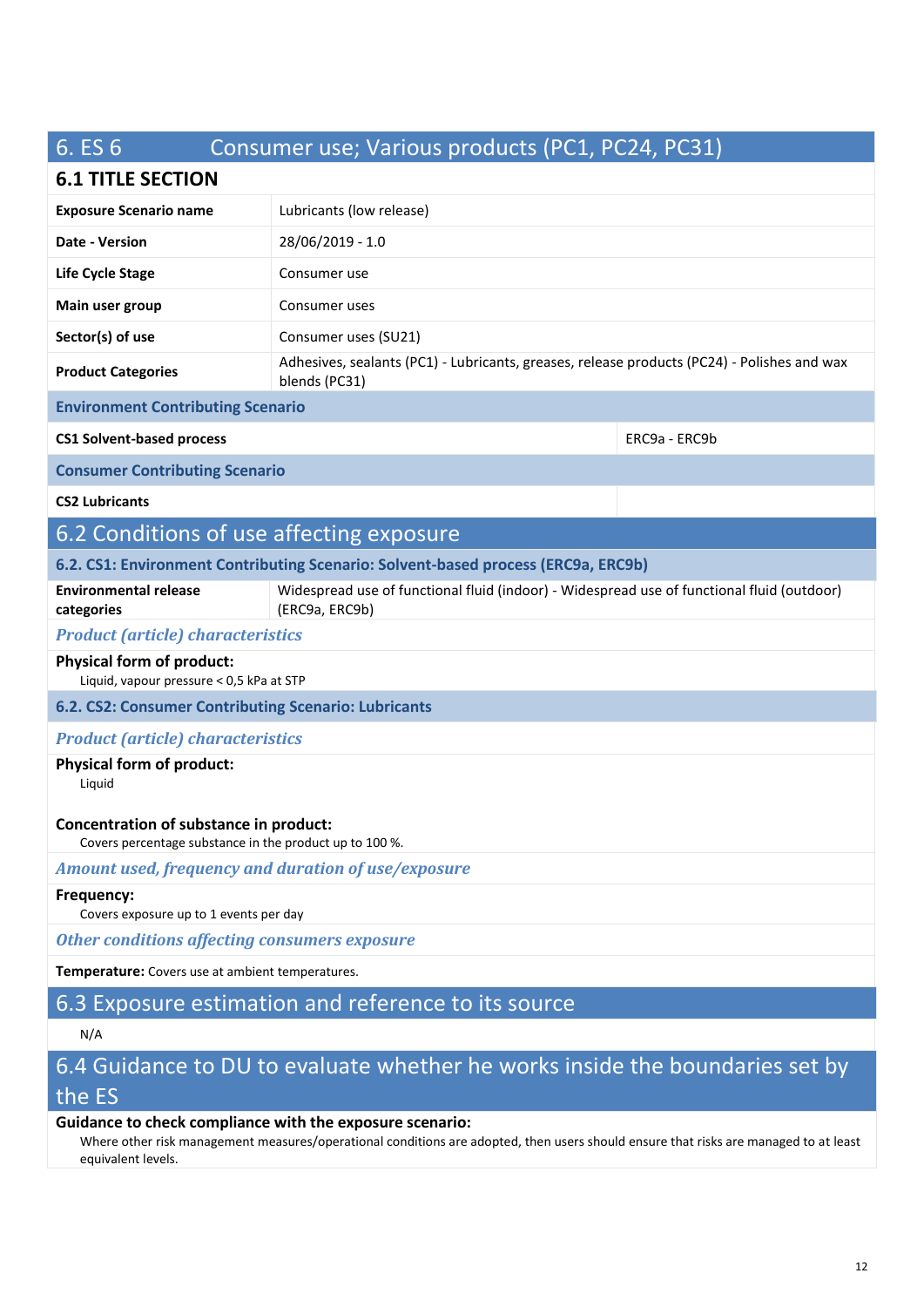# 6. ES 6 Consumer use; Various products (PC1, PC24, PC31)

## **6.1 TITLE SECTION**

| U.L IIILL JL\IIVI                                                                                 |                                                                                                              |               |
|---------------------------------------------------------------------------------------------------|--------------------------------------------------------------------------------------------------------------|---------------|
| <b>Exposure Scenario name</b>                                                                     | Lubricants (low release)                                                                                     |               |
| Date - Version                                                                                    | 28/06/2019 - 1.0                                                                                             |               |
| Life Cycle Stage                                                                                  | Consumer use                                                                                                 |               |
| Main user group                                                                                   | Consumer uses                                                                                                |               |
| Sector(s) of use                                                                                  | Consumer uses (SU21)                                                                                         |               |
| <b>Product Categories</b>                                                                         | Adhesives, sealants (PC1) - Lubricants, greases, release products (PC24) - Polishes and wax<br>blends (PC31) |               |
| <b>Environment Contributing Scenario</b>                                                          |                                                                                                              |               |
| <b>CS1 Solvent-based process</b>                                                                  |                                                                                                              | ERC9a - ERC9b |
| <b>Consumer Contributing Scenario</b>                                                             |                                                                                                              |               |
| <b>CS2 Lubricants</b>                                                                             |                                                                                                              |               |
| 6.2 Conditions of use affecting exposure                                                          |                                                                                                              |               |
|                                                                                                   | 6.2. CS1: Environment Contributing Scenario: Solvent-based process (ERC9a, ERC9b)                            |               |
| <b>Environmental release</b><br>categories                                                        | Widespread use of functional fluid (indoor) - Widespread use of functional fluid (outdoor)<br>(ERC9a, ERC9b) |               |
| <b>Product (article) characteristics</b>                                                          |                                                                                                              |               |
| <b>Physical form of product:</b><br>Liquid, vapour pressure < 0,5 kPa at STP                      |                                                                                                              |               |
| 6.2. CS2: Consumer Contributing Scenario: Lubricants                                              |                                                                                                              |               |
| <b>Product (article) characteristics</b>                                                          |                                                                                                              |               |
| <b>Physical form of product:</b><br>Liquid                                                        |                                                                                                              |               |
| Concentration of substance in product:<br>Covers percentage substance in the product up to 100 %. |                                                                                                              |               |
| Amount used, frequency and duration of use/exposure                                               |                                                                                                              |               |
| Frequency:<br>Covers exposure up to 1 events per day                                              |                                                                                                              |               |
| <b>Other conditions affecting consumers exposure</b>                                              |                                                                                                              |               |
| Temperature: Covers use at ambient temperatures.                                                  |                                                                                                              |               |
|                                                                                                   | 6.3 Exposure estimation and reference to its source                                                          |               |
| N/A                                                                                               |                                                                                                              |               |
|                                                                                                   | 6.4 Guidance to DU to evaluate whether he works inside the boundaries set by                                 |               |
| the ES                                                                                            |                                                                                                              |               |

#### **Guidance to check compliance with the exposure scenario:**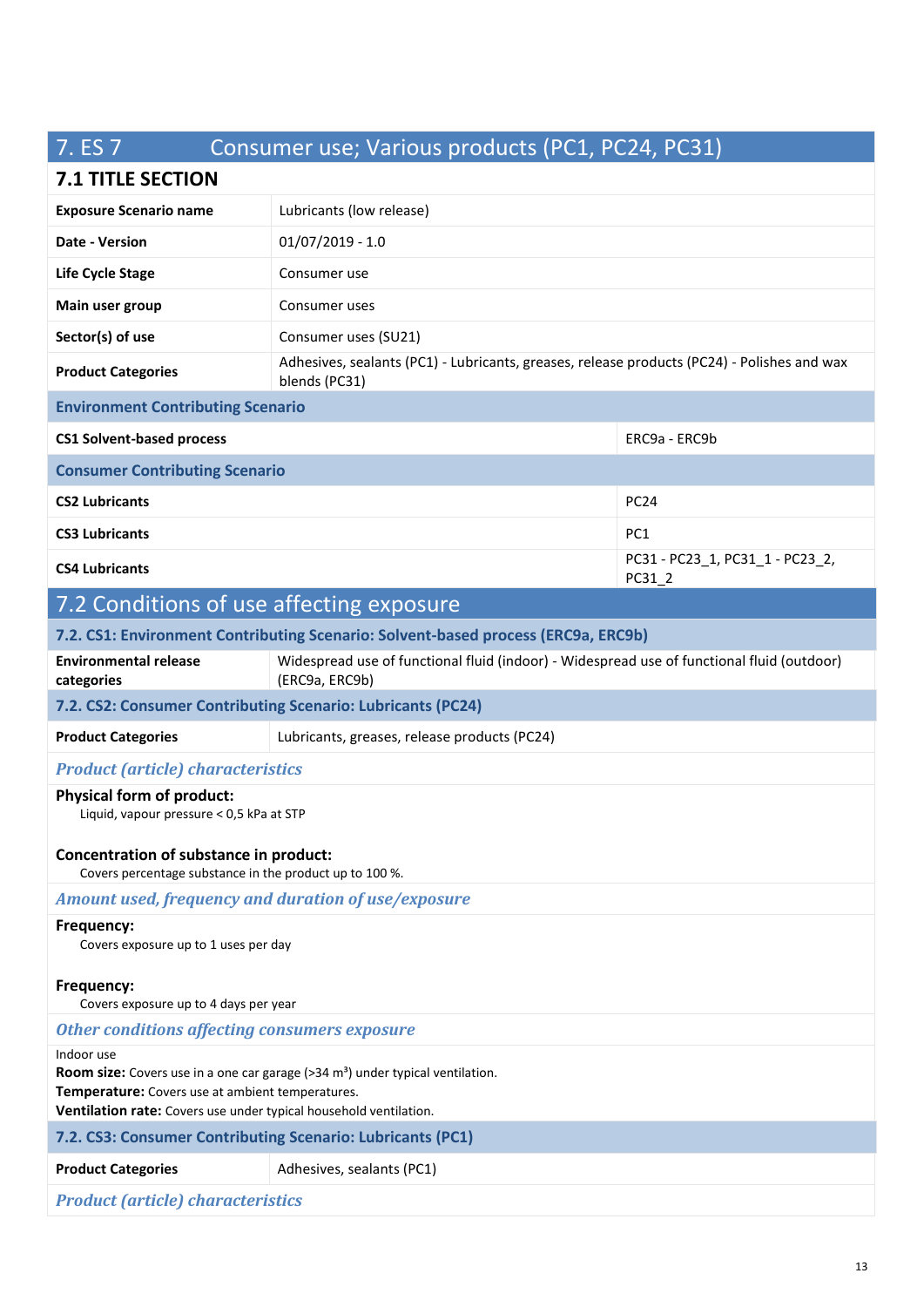# 7. ES 7 Consumer use; Various products (PC1, PC24, PC31)

## **7.1 TITLE SECTION**

| <b>1.1 IIILE JECHUN</b>                                                                                                                                                                                                           |                                                                                                              |                                           |
|-----------------------------------------------------------------------------------------------------------------------------------------------------------------------------------------------------------------------------------|--------------------------------------------------------------------------------------------------------------|-------------------------------------------|
| <b>Exposure Scenario name</b>                                                                                                                                                                                                     | Lubricants (low release)                                                                                     |                                           |
| Date - Version                                                                                                                                                                                                                    | $01/07/2019 - 1.0$                                                                                           |                                           |
| Life Cycle Stage                                                                                                                                                                                                                  | Consumer use                                                                                                 |                                           |
| Main user group                                                                                                                                                                                                                   | Consumer uses                                                                                                |                                           |
| Sector(s) of use                                                                                                                                                                                                                  | Consumer uses (SU21)                                                                                         |                                           |
| <b>Product Categories</b>                                                                                                                                                                                                         | Adhesives, sealants (PC1) - Lubricants, greases, release products (PC24) - Polishes and wax<br>blends (PC31) |                                           |
| <b>Environment Contributing Scenario</b>                                                                                                                                                                                          |                                                                                                              |                                           |
| <b>CS1 Solvent-based process</b>                                                                                                                                                                                                  |                                                                                                              | ERC9a - ERC9b                             |
| <b>Consumer Contributing Scenario</b>                                                                                                                                                                                             |                                                                                                              |                                           |
| <b>CS2 Lubricants</b>                                                                                                                                                                                                             |                                                                                                              | <b>PC24</b>                               |
| <b>CS3 Lubricants</b>                                                                                                                                                                                                             |                                                                                                              | PC <sub>1</sub>                           |
| <b>CS4 Lubricants</b>                                                                                                                                                                                                             |                                                                                                              | PC31 - PC23_1, PC31_1 - PC23_2,<br>PC31_2 |
| 7.2 Conditions of use affecting exposure                                                                                                                                                                                          |                                                                                                              |                                           |
| 7.2. CS1: Environment Contributing Scenario: Solvent-based process (ERC9a, ERC9b)                                                                                                                                                 |                                                                                                              |                                           |
| <b>Environmental release</b><br>categories                                                                                                                                                                                        | Widespread use of functional fluid (indoor) - Widespread use of functional fluid (outdoor)<br>(ERC9a, ERC9b) |                                           |
| 7.2. CS2: Consumer Contributing Scenario: Lubricants (PC24)                                                                                                                                                                       |                                                                                                              |                                           |
| <b>Product Categories</b>                                                                                                                                                                                                         | Lubricants, greases, release products (PC24)                                                                 |                                           |
| <b>Product (article) characteristics</b>                                                                                                                                                                                          |                                                                                                              |                                           |
| <b>Physical form of product:</b><br>Liquid, vapour pressure < 0,5 kPa at STP                                                                                                                                                      |                                                                                                              |                                           |
| Concentration of substance in product:<br>Covers percentage substance in the product up to 100 %.                                                                                                                                 |                                                                                                              |                                           |
| Amount used, frequency and duration of use/exposure                                                                                                                                                                               |                                                                                                              |                                           |
| Frequency:<br>Covers exposure up to 1 uses per day                                                                                                                                                                                |                                                                                                              |                                           |
| Frequency:<br>Covers exposure up to 4 days per year                                                                                                                                                                               |                                                                                                              |                                           |
| <b>Other conditions affecting consumers exposure</b>                                                                                                                                                                              |                                                                                                              |                                           |
| Indoor use<br>Room size: Covers use in a one car garage (>34 m <sup>3</sup> ) under typical ventilation.<br>Temperature: Covers use at ambient temperatures.<br>Ventilation rate: Covers use under typical household ventilation. |                                                                                                              |                                           |
| 7.2. CS3: Consumer Contributing Scenario: Lubricants (PC1)                                                                                                                                                                        |                                                                                                              |                                           |
| <b>Product Categories</b>                                                                                                                                                                                                         | Adhesives, sealants (PC1)                                                                                    |                                           |
|                                                                                                                                                                                                                                   |                                                                                                              |                                           |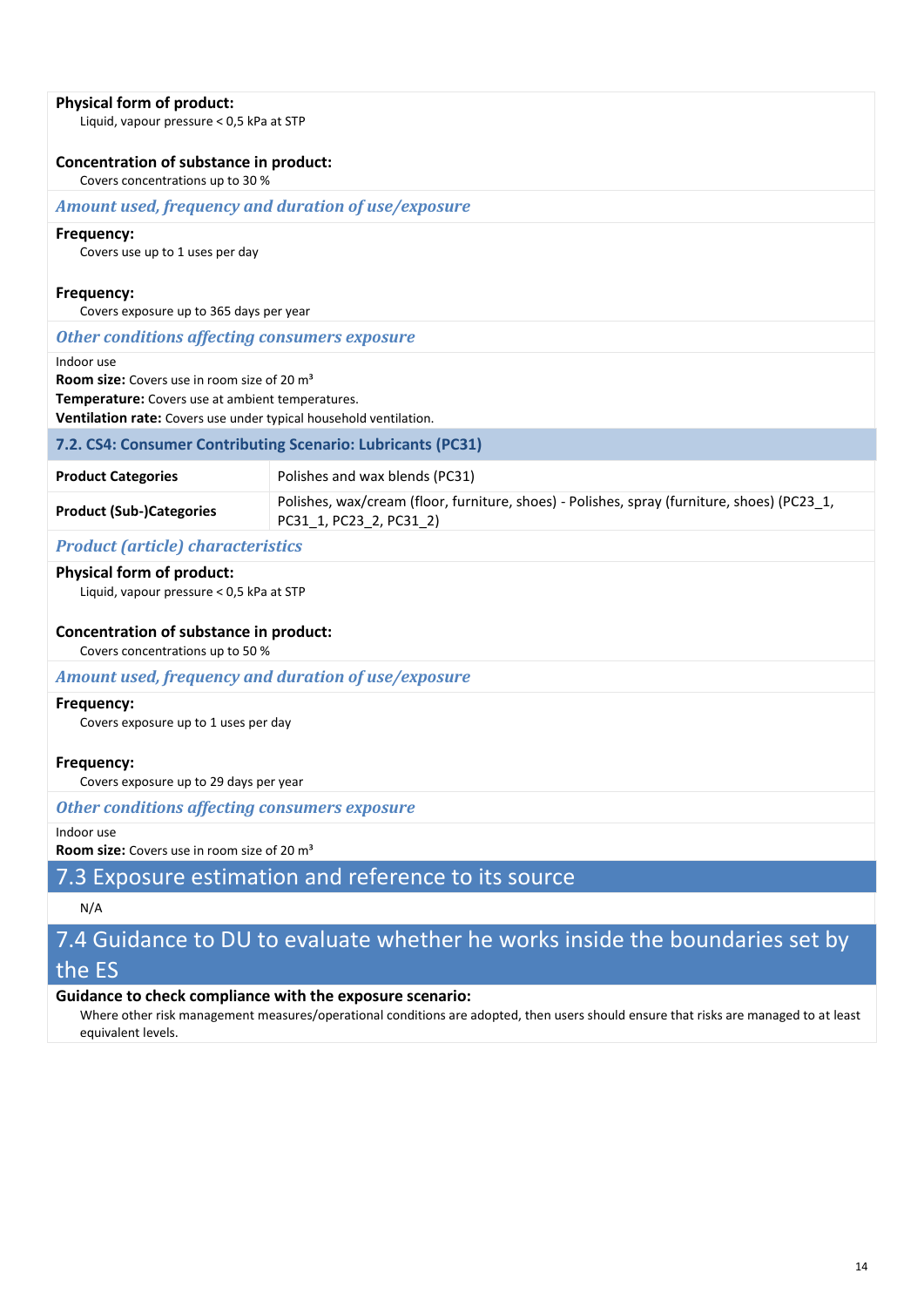#### **Physical form of product:**

Liquid, vapour pressure < 0,5 kPa at STP

#### **Concentration of substance in product:**

Covers concentrations up to 30 %

#### *Amount used, frequency and duration of use/exposure*

#### **Frequency:**

Covers use up to 1 uses per day

#### **Frequency:**

Covers exposure up to 365 days per year

#### *Other conditions affecting consumers exposure*

Indoor use

**Room size:** Covers use in room size of 20 m³

**Temperature:** Covers use at ambient temperatures.

**Ventilation rate:** Covers use under typical household ventilation.

#### **7.2. CS4: Consumer Contributing Scenario: Lubricants (PC31)**

| <b>Product Categories</b>       | Polishes and wax blends (PC31)                                                                                         |
|---------------------------------|------------------------------------------------------------------------------------------------------------------------|
| <b>Product (Sub-)Categories</b> | Polishes, wax/cream (floor, furniture, shoes) - Polishes, spray (furniture, shoes) (PC23 1,<br>PC31 1, PC23 2, PC31 2) |

#### *Product (article) characteristics*

#### **Physical form of product:**

Liquid, vapour pressure < 0,5 kPa at STP

#### **Concentration of substance in product:**

Covers concentrations up to 50 %

#### *Amount used, frequency and duration of use/exposure*

#### **Frequency:**

Covers exposure up to 1 uses per day

#### **Frequency:**

Covers exposure up to 29 days per year

*Other conditions affecting consumers exposure*

#### Indoor use

**Room size:** Covers use in room size of 20 m<sup>3</sup>

## 7.3 Exposure estimation and reference to its source

#### N/A

## 7.4 Guidance to DU to evaluate whether he works inside the boundaries set by the ES

#### **Guidance to check compliance with the exposure scenario:**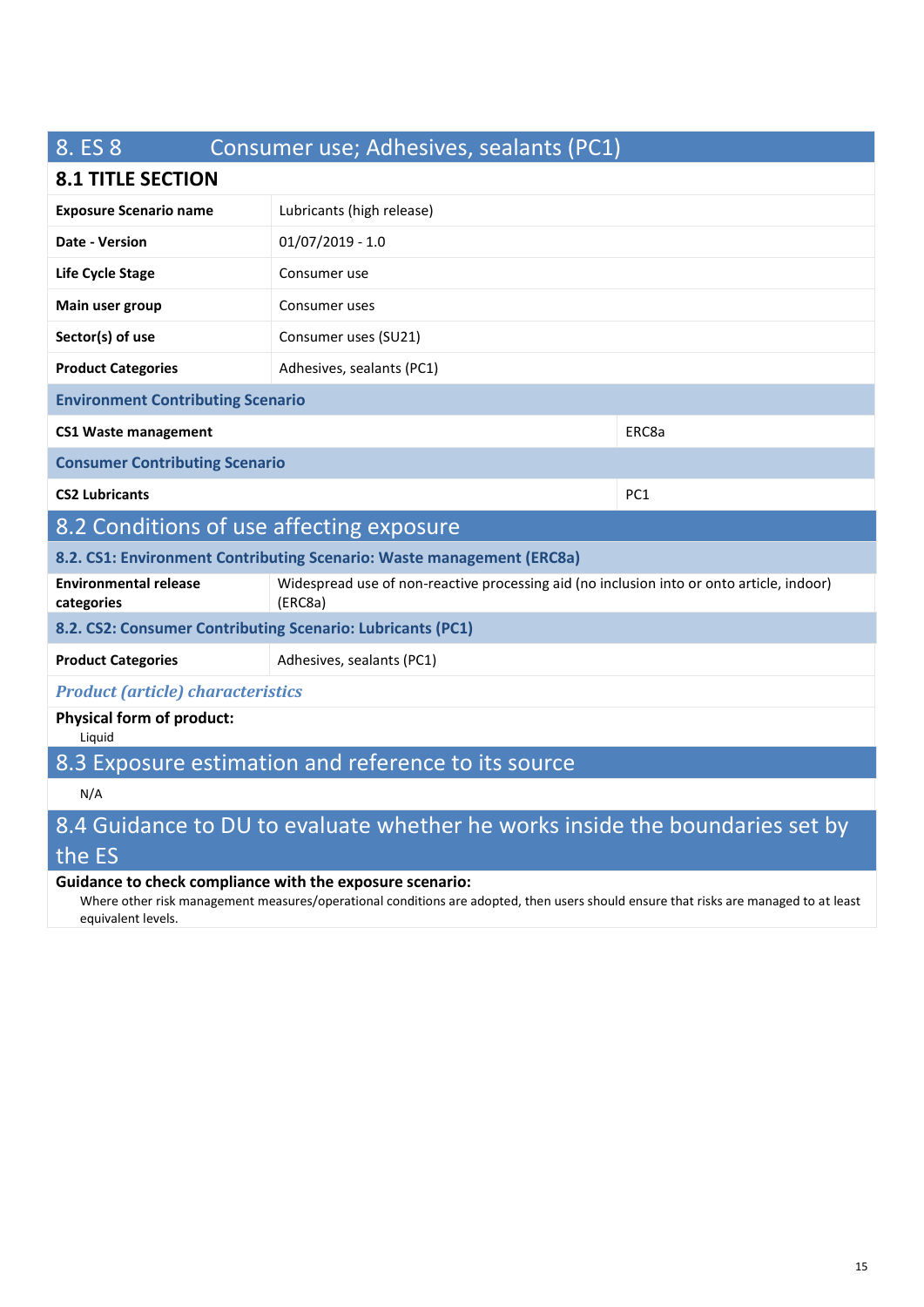# 8. ES 8 Consumer use; Adhesives, sealants (PC1) **8.1 TITLE SECTION Exposure Scenario name** Lubricants (high release) **Date - Version** 01/07/2019 - 1.0 **Life Cycle Stage** Consumer use **Main user group** Consumer uses **Sector(s) of use** Consumer uses (SU21) **Product Categories** Adhesives, sealants (PC1) **Environment Contributing Scenario CS1 Waste management** ERC8a **Consumer Contributing Scenario CS2 Lubricants** PC1 8.2 Conditions of use affecting exposure **8.2. CS1: Environment Contributing Scenario: Waste management (ERC8a) Environmental release categories** Widespread use of non-reactive processing aid (no inclusion into or onto article, indoor) (ERC8a) **8.2. CS2: Consumer Contributing Scenario: Lubricants (PC1) Product Categories** Adhesives, sealants (PC1) *Product (article) characteristics* **Physical form of product:**  Liquid 8.3 Exposure estimation and reference to its source N/A

# 8.4 Guidance to DU to evaluate whether he works inside the boundaries set by the ES

#### **Guidance to check compliance with the exposure scenario:**